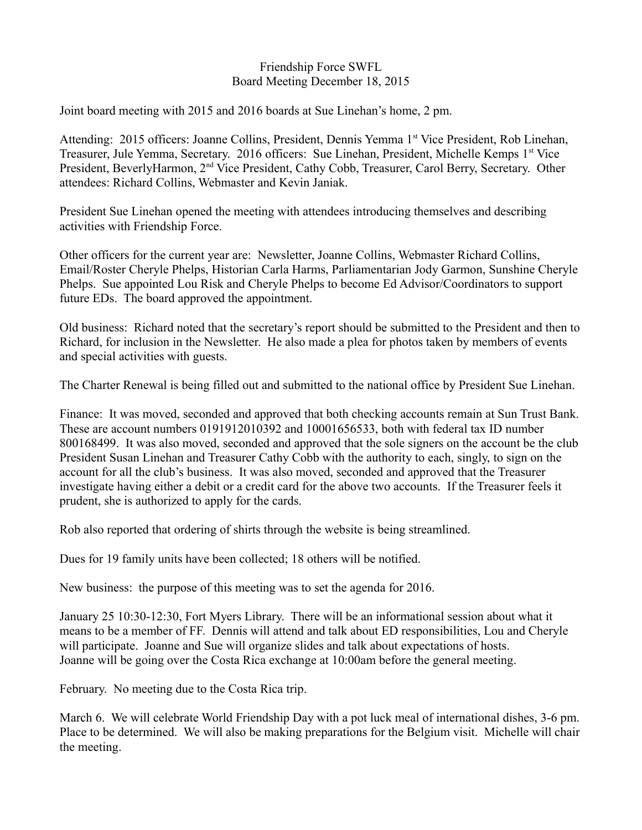### Friendship Force SWFL Board Meeting December 18, 2015

Joint board meeting with 2015 and 2016 boards at Sue Linehan's home, 2 pm.

Attending: 2015 officers: Joanne Collins, President, Dennis Yemma 1<sup>st</sup> Vice President, Rob Linehan, Treasurer, Jule Yemma, Secretary. 2016 officers: Sue Linehan, President, Michelle Kemps 1<sup>st</sup> Vice President, BeverlyHarmon, 2<sup>nd</sup> Vice President, Cathy Cobb, Treasurer, Carol Berry, Secretary. Other attendees: Richard Collins, Webmaster and Kevin Janiak.

President Sue Linehan opened the meeting with attendees introducing themselves and describing activities with Friendship Force.

Other officers for the current year are: Newsletter, Joanne Collins, Webmaster Richard Collins, Email/Roster Cheryle Phelps, Historian Carla Harms, Parliamentarian Jody Garmon, Sunshine Cheryle Phelps. Sue appointed Lou Risk and Cheryle Phelps to become Ed Advisor/Coordinators to support future EDs. The board approved the appointment.

Old business: Richard noted that the secretary's report should be submitted to the President and then to Richard, for inclusion in the Newsletter. He also made a plea for photos taken by members of events and special activities with guests.

The Charter Renewal is being filled out and submitted to the national office by President Sue Linehan.

Finance: It was moved, seconded and approved that both checking accounts remain at Sun Trust Bank. These are account numbers 0191912010392 and 10001656533, both with federal tax ID number 800168499. It was also moved, seconded and approved that the sole signers on the account be the club President Susan Linehan and Treasurer Cathy Cobb with the authority to each, singly, to sign on the account for all the club's business. It was also moved, seconded and approved that the Treasurer investigate having either a debit or a credit card for the above two accounts. If the Treasurer feels it prudent, she is authorized to apply for the cards.

Rob also reported that ordering of shirts through the website is being streamlined.

Dues for 19 family units have been collected; 18 others will be notified.

New business: the purpose of this meeting was to set the agenda for 2016.

January 25 10:30-12:30, Fort Myers Library. There will be an informational session about what it means to be a member of FF. Dennis will attend and talk about ED responsibilities, Lou and Cheryle will participate. Joanne and Sue will organize slides and talk about expectations of hosts. Joanne will be going over the Costa Rica exchange at 10:00am before the general meeting.

February. No meeting due to the Costa Rica trip.

March 6. We will celebrate World Friendship Day with a pot luck meal of international dishes, 3-6 pm. Place to be determined. We will also be making preparations for the Belgium visit. Michelle will chair the meeting.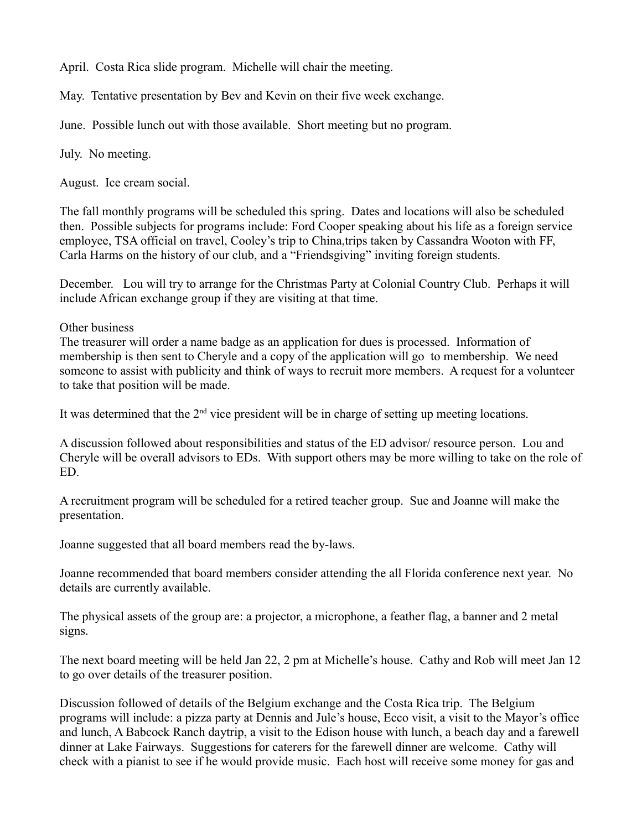April. Costa Rica slide program. Michelle will chair the meeting.

May. Tentative presentation by Bev and Kevin on their five week exchange.

June. Possible lunch out with those available. Short meeting but no program.

July. No meeting.

August. Ice cream social.

The fall monthly programs will be scheduled this spring. Dates and locations will also be scheduled then. Possible subjects for programs include: Ford Cooper speaking about his life as a foreign service employee, TSA official on travel, Cooley's trip to China,trips taken by Cassandra Wooton with FF, Carla Harms on the history of our club, and a "Friendsgiving" inviting foreign students.

December. Lou will try to arrange for the Christmas Party at Colonial Country Club. Perhaps it will include African exchange group if they are visiting at that time.

Other business

The treasurer will order a name badge as an application for dues is processed. Information of membership is then sent to Cheryle and a copy of the application will go to membership. We need someone to assist with publicity and think of ways to recruit more members. A request for a volunteer to take that position will be made.

It was determined that the  $2<sup>nd</sup>$  vice president will be in charge of setting up meeting locations.

A discussion followed about responsibilities and status of the ED advisor/ resource person. Lou and Cheryle will be overall advisors to EDs. With support others may be more willing to take on the role of ED.

A recruitment program will be scheduled for a retired teacher group. Sue and Joanne will make the presentation.

Joanne suggested that all board members read the by-laws.

Joanne recommended that board members consider attending the all Florida conference next year. No details are currently available.

The physical assets of the group are: a projector, a microphone, a feather flag, a banner and 2 metal signs.

The next board meeting will be held Jan 22, 2 pm at Michelle's house. Cathy and Rob will meet Jan 12 to go over details of the treasurer position.

Discussion followed of details of the Belgium exchange and the Costa Rica trip. The Belgium programs will include: a pizza party at Dennis and Jule's house, Ecco visit, a visit to the Mayor's office and lunch, A Babcock Ranch daytrip, a visit to the Edison house with lunch, a beach day and a farewell dinner at Lake Fairways. Suggestions for caterers for the farewell dinner are welcome. Cathy will check with a pianist to see if he would provide music. Each host will receive some money for gas and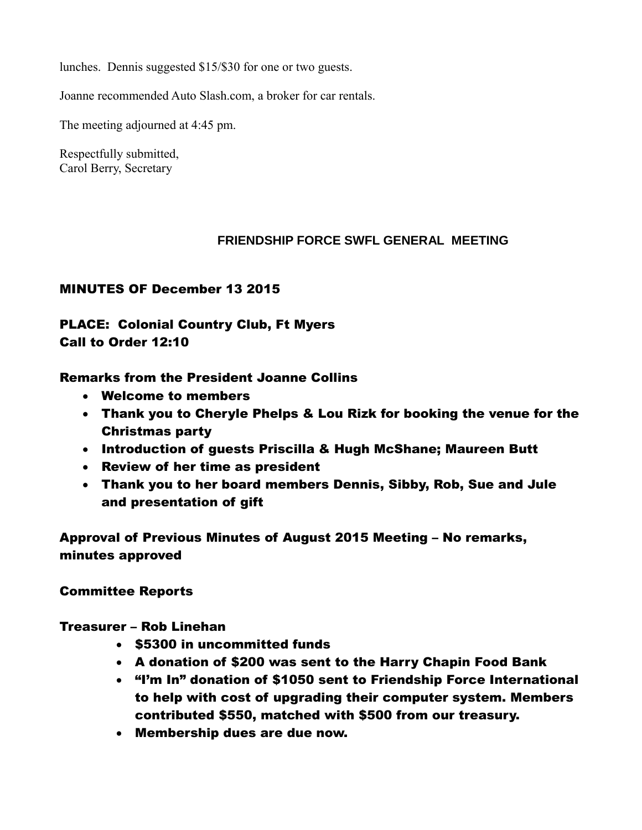lunches. Dennis suggested \$15/\$30 for one or two guests.

Joanne recommended Auto Slash.com, a broker for car rentals.

The meeting adjourned at 4:45 pm.

Respectfully submitted, Carol Berry, Secretary

## **FRIENDSHIP FORCE SWFL GENERAL MEETING**

# MINUTES OF December 13 2015

# PLACE: Colonial Country Club, Ft Myers Call to Order 12:10

## Remarks from the President Joanne Collins

- Welcome to members
- Thank you to Cheryle Phelps & Lou Rizk for booking the venue for the Christmas party
- Introduction of guests Priscilla & Hugh McShane; Maureen Butt
- Review of her time as president
- Thank you to her board members Dennis, Sibby, Rob, Sue and Jule and presentation of gift

Approval of Previous Minutes of August 2015 Meeting – No remarks, minutes approved

# Committee Reports

# Treasurer – Rob Linehan

- \$5300 in uncommitted funds
- A donation of \$200 was sent to the Harry Chapin Food Bank
- "I'm In" donation of \$1050 sent to Friendship Force International to help with cost of upgrading their computer system. Members contributed \$550, matched with \$500 from our treasury.
- Membership dues are due now.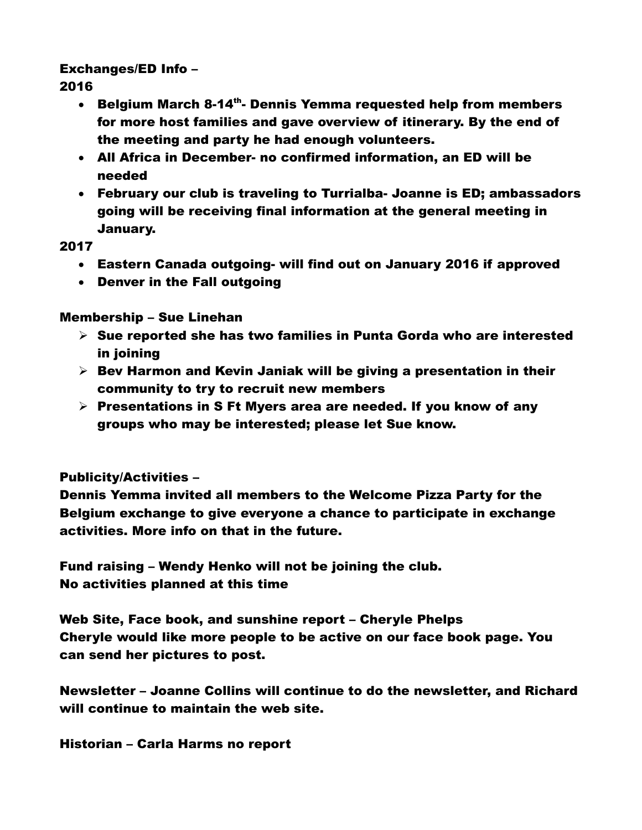# Exchanges/ED Info –

2016

- Belgium March 8-14<sup>th</sup>- Dennis Yemma requested help from members for more host families and gave overview of itinerary. By the end of the meeting and party he had enough volunteers.
- All Africa in December- no confirmed information, an ED will be needed
- February our club is traveling to Turrialba- Joanne is ED; ambassadors going will be receiving final information at the general meeting in January.

# 2017

- Eastern Canada outgoing- will find out on January 2016 if approved
- Denver in the Fall outgoing

# Membership – Sue Linehan

- $\triangleright$  Sue reported she has two families in Punta Gorda who are interested in joining
- $\triangleright$  Bev Harmon and Kevin Janiak will be giving a presentation in their community to try to recruit new members
- $\triangleright$  Presentations in S Ft Myers area are needed. If you know of any groups who may be interested; please let Sue know.

# Publicity/Activities –

Dennis Yemma invited all members to the Welcome Pizza Party for the Belgium exchange to give everyone a chance to participate in exchange activities. More info on that in the future.

Fund raising – Wendy Henko will not be joining the club. No activities planned at this time

Web Site, Face book, and sunshine report – Cheryle Phelps Cheryle would like more people to be active on our face book page. You can send her pictures to post.

Newsletter – Joanne Collins will continue to do the newsletter, and Richard will continue to maintain the web site.

Historian – Carla Harms no report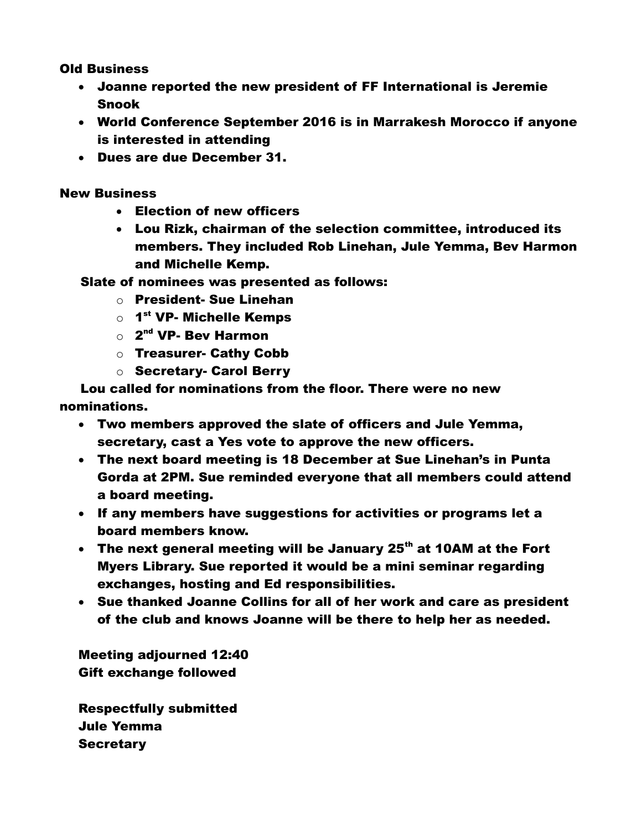Old Business

- Joanne reported the new president of FF International is Jeremie Snook
- World Conference September 2016 is in Marrakesh Morocco if anyone is interested in attending
- Dues are due December 31.

New Business

- Election of new officers
- Lou Rizk, chairman of the selection committee, introduced its members. They included Rob Linehan, Jule Yemma, Bev Harmon and Michelle Kemp.

Slate of nominees was presented as follows:

- o President- Sue Linehan
- $\circ$  1<sup>st</sup> VP- Michelle Kemps
- $\circ$  2<sup>nd</sup> VP- Bev Harmon
- o Treasurer- Cathy Cobb
- o Secretary- Carol Berry

 Lou called for nominations from the floor. There were no new nominations.

- Two members approved the slate of officers and Jule Yemma, secretary, cast a Yes vote to approve the new officers.
- The next board meeting is 18 December at Sue Linehan's in Punta Gorda at 2PM. Sue reminded everyone that all members could attend a board meeting.
- If any members have suggestions for activities or programs let a board members know.
- The next general meeting will be January 25<sup>th</sup> at 10AM at the Fort Myers Library. Sue reported it would be a mini seminar regarding exchanges, hosting and Ed responsibilities.
- Sue thanked Joanne Collins for all of her work and care as president of the club and knows Joanne will be there to help her as needed.

Meeting adjourned 12:40 Gift exchange followed

Respectfully submitted Jule Yemma **Secretary**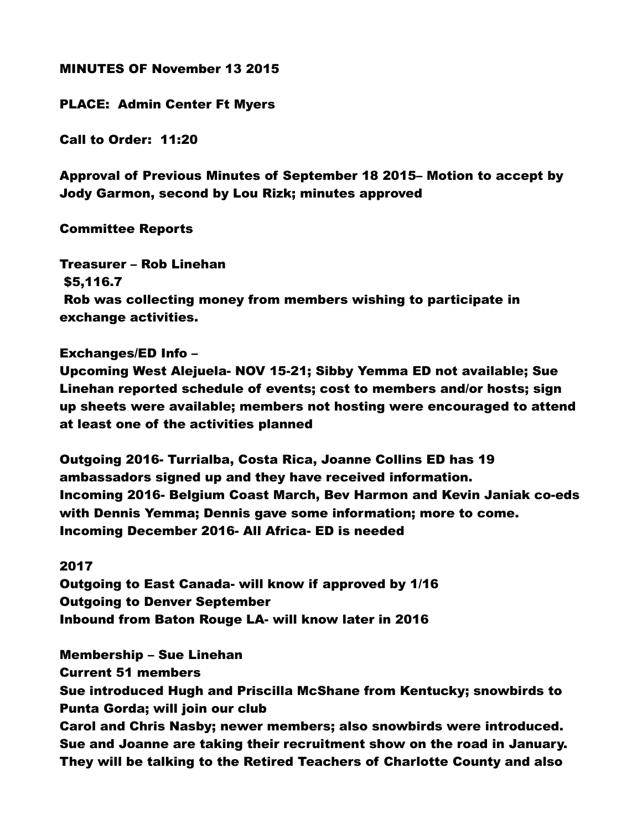## MINUTES OF November 13 2015

## PLACE: Admin Center Ft Myers

Call to Order: 11:20

Approval of Previous Minutes of September 18 2015– Motion to accept by Jody Garmon, second by Lou Rizk; minutes approved

## Committee Reports

Treasurer – Rob Linehan \$5,116.7 Rob was collecting money from members wishing to participate in exchange activities.

## Exchanges/ED Info –

Upcoming West Alejuela- NOV 15-21; Sibby Yemma ED not available; Sue Linehan reported schedule of events; cost to members and/or hosts; sign up sheets were available; members not hosting were encouraged to attend at least one of the activities planned

Outgoing 2016- Turrialba, Costa Rica, Joanne Collins ED has 19 ambassadors signed up and they have received information. Incoming 2016- Belgium Coast March, Bev Harmon and Kevin Janiak co-eds with Dennis Yemma; Dennis gave some information; more to come. Incoming December 2016- All Africa- ED is needed

## 2017

Outgoing to East Canada- will know if approved by 1/16 Outgoing to Denver September Inbound from Baton Rouge LA- will know later in 2016

Membership – Sue Linehan Current 51 members Sue introduced Hugh and Priscilla McShane from Kentucky; snowbirds to Punta Gorda; will join our club Carol and Chris Nasby; newer members; also snowbirds were introduced. Sue and Joanne are taking their recruitment show on the road in January. They will be talking to the Retired Teachers of Charlotte County and also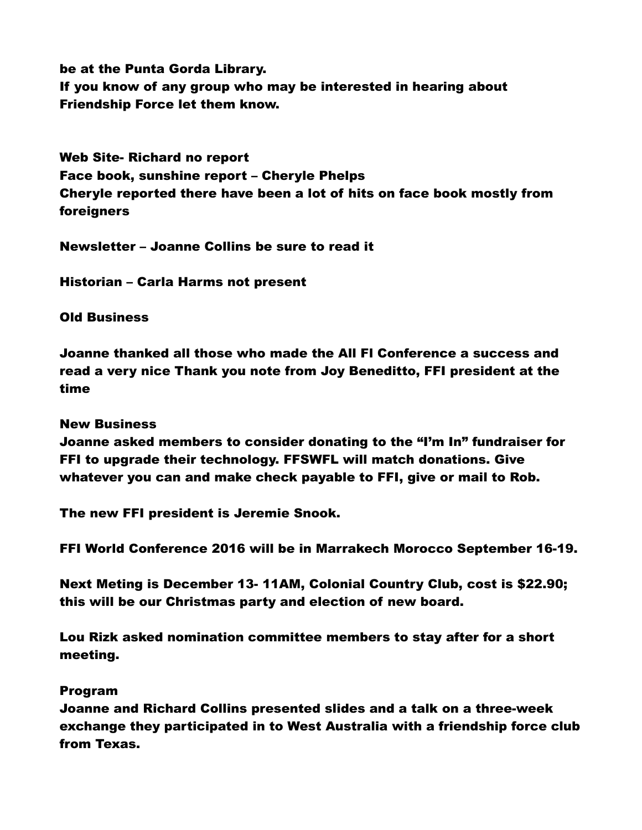be at the Punta Gorda Library. If you know of any group who may be interested in hearing about Friendship Force let them know.

Web Site- Richard no report Face book, sunshine report – Cheryle Phelps Cheryle reported there have been a lot of hits on face book mostly from foreigners

Newsletter – Joanne Collins be sure to read it

Historian – Carla Harms not present

Old Business

Joanne thanked all those who made the All Fl Conference a success and read a very nice Thank you note from Joy Beneditto, FFI president at the time

New Business

Joanne asked members to consider donating to the "I'm In" fundraiser for FFI to upgrade their technology. FFSWFL will match donations. Give whatever you can and make check payable to FFI, give or mail to Rob.

The new FFI president is Jeremie Snook.

FFI World Conference 2016 will be in Marrakech Morocco September 16-19.

Next Meting is December 13- 11AM, Colonial Country Club, cost is \$22.90; this will be our Christmas party and election of new board.

Lou Rizk asked nomination committee members to stay after for a short meeting.

## Program

Joanne and Richard Collins presented slides and a talk on a three-week exchange they participated in to West Australia with a friendship force club from Texas.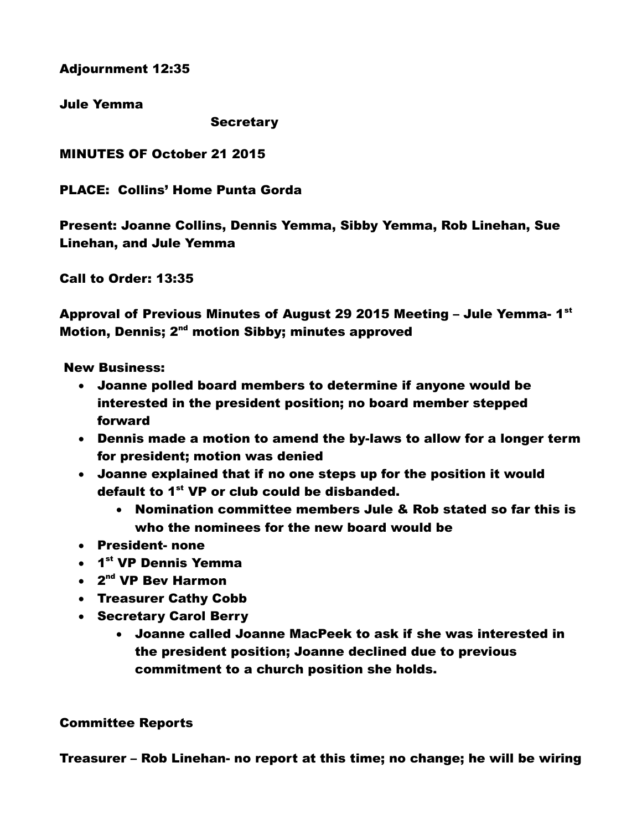Adjournment 12:35

Jule Yemma

**Secretary** 

MINUTES OF October 21 2015

PLACE: Collins' Home Punta Gorda

Present: Joanne Collins, Dennis Yemma, Sibby Yemma, Rob Linehan, Sue Linehan, and Jule Yemma

Call to Order: 13:35

Approval of Previous Minutes of August 29 2015 Meeting – Jule Yemma- 1 $^{\rm st}$ Motion, Dennis; 2<sup>nd</sup> motion Sibby; minutes approved

New Business:

- Joanne polled board members to determine if anyone would be interested in the president position; no board member stepped forward
- Dennis made a motion to amend the by-laws to allow for a longer term for president; motion was denied
- Joanne explained that if no one steps up for the position it would default to 1<sup>st</sup> VP or club could be disbanded.
	- Nomination committee members Jule & Rob stated so far this is who the nominees for the new board would be
- President- none
- 1<sup>st</sup> VP Dennis Yemma
- 2<sup>nd</sup> VP Bev Harmon
- Treasurer Cathy Cobb
- Secretary Carol Berry
	- Joanne called Joanne MacPeek to ask if she was interested in the president position; Joanne declined due to previous commitment to a church position she holds.

## Committee Reports

Treasurer – Rob Linehan- no report at this time; no change; he will be wiring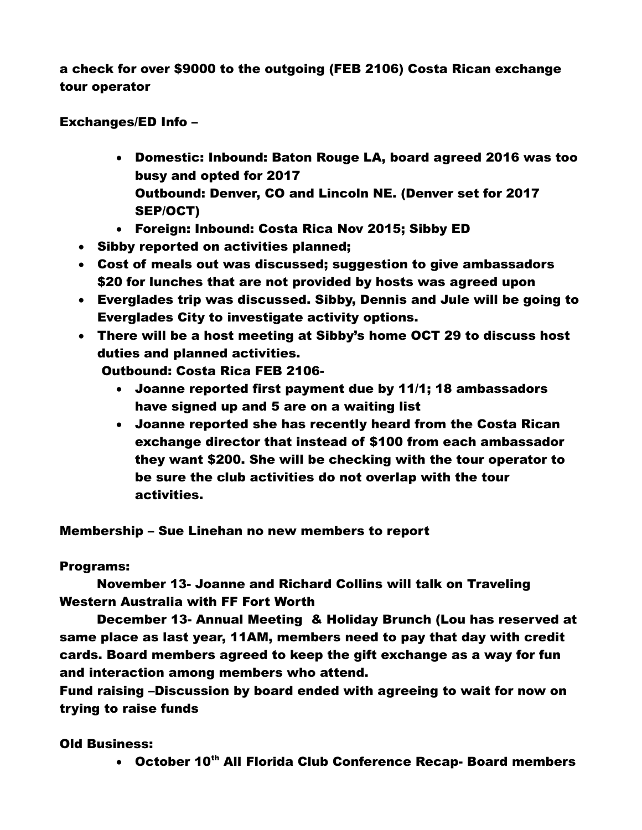a check for over \$9000 to the outgoing (FEB 2106) Costa Rican exchange tour operator

Exchanges/ED Info –

- Domestic: Inbound: Baton Rouge LA, board agreed 2016 was too busy and opted for 2017 Outbound: Denver, CO and Lincoln NE. (Denver set for 2017 SEP/OCT)
- Foreign: Inbound: Costa Rica Nov 2015; Sibby ED
- Sibby reported on activities planned;
- Cost of meals out was discussed; suggestion to give ambassadors \$20 for lunches that are not provided by hosts was agreed upon
- Everglades trip was discussed. Sibby, Dennis and Jule will be going to Everglades City to investigate activity options.
- There will be a host meeting at Sibby's home OCT 29 to discuss host duties and planned activities.

Outbound: Costa Rica FEB 2106-

- Joanne reported first payment due by 11/1; 18 ambassadors have signed up and 5 are on a waiting list
- Joanne reported she has recently heard from the Costa Rican exchange director that instead of \$100 from each ambassador they want \$200. She will be checking with the tour operator to be sure the club activities do not overlap with the tour activities.

Membership – Sue Linehan no new members to report

# Programs:

November 13- Joanne and Richard Collins will talk on Traveling Western Australia with FF Fort Worth

December 13- Annual Meeting & Holiday Brunch (Lou has reserved at same place as last year, 11AM, members need to pay that day with credit cards. Board members agreed to keep the gift exchange as a way for fun and interaction among members who attend.

Fund raising –Discussion by board ended with agreeing to wait for now on trying to raise funds

# Old Business:

• October 10<sup>th</sup> All Florida Club Conference Recap- Board members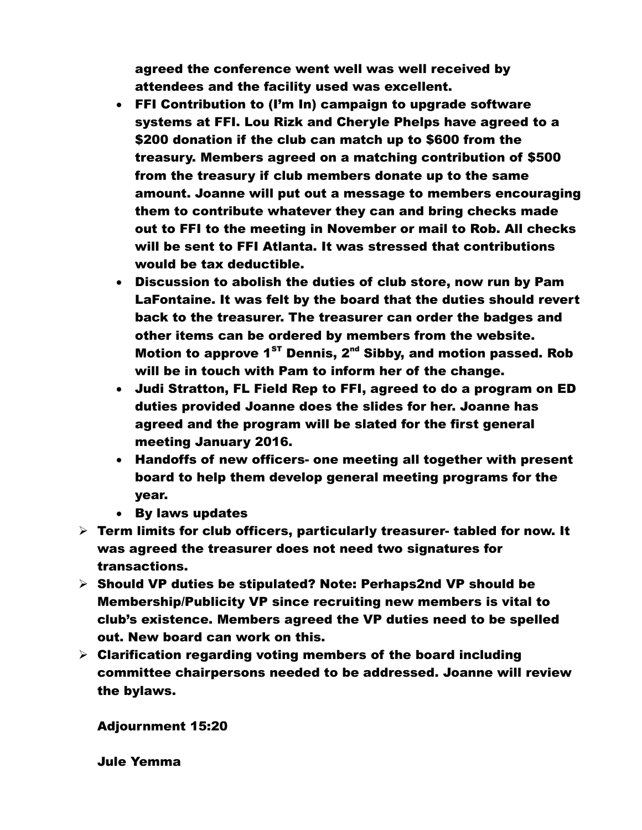agreed the conference went well was well received by attendees and the facility used was excellent.

- FFI Contribution to (I'm In) campaign to upgrade software systems at FFI. Lou Rizk and Cheryle Phelps have agreed to a \$200 donation if the club can match up to \$600 from the treasury. Members agreed on a matching contribution of \$500 from the treasury if club members donate up to the same amount. Joanne will put out a message to members encouraging them to contribute whatever they can and bring checks made out to FFI to the meeting in November or mail to Rob. All checks will be sent to FFI Atlanta. It was stressed that contributions would be tax deductible.
- Discussion to abolish the duties of club store, now run by Pam LaFontaine. It was felt by the board that the duties should revert back to the treasurer. The treasurer can order the badges and other items can be ordered by members from the website. Motion to approve  $1^{ST}$  Dennis,  $2^{nd}$  Sibby, and motion passed. Rob will be in touch with Pam to inform her of the change.
- Judi Stratton, FL Field Rep to FFI, agreed to do a program on ED duties provided Joanne does the slides for her. Joanne has agreed and the program will be slated for the first general meeting January 2016.
- Handoffs of new officers- one meeting all together with present board to help them develop general meeting programs for the year.
- By laws updates
- $\triangleright$  Term limits for club officers, particularly treasurer- tabled for now. It was agreed the treasurer does not need two signatures for transactions.
- $\triangleright$  Should VP duties be stipulated? Note: Perhaps2nd VP should be Membership/Publicity VP since recruiting new members is vital to club's existence. Members agreed the VP duties need to be spelled out. New board can work on this.
- $\triangleright$  Clarification regarding voting members of the board including committee chairpersons needed to be addressed. Joanne will review the bylaws.

Adjournment 15:20

Jule Yemma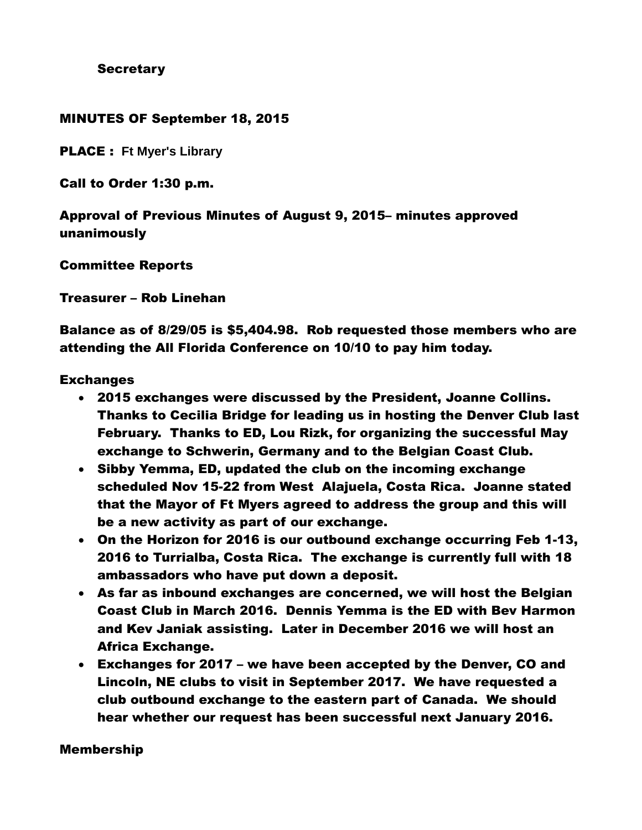**Secretary** 

## MINUTES OF September 18, 2015

PLACE : **Ft Myer's Library**

Call to Order 1:30 p.m.

Approval of Previous Minutes of August 9, 2015– minutes approved unanimously

Committee Reports

Treasurer – Rob Linehan

Balance as of 8/29/05 is \$5,404.98. Rob requested those members who are attending the All Florida Conference on 10/10 to pay him today.

## **Exchanges**

- 2015 exchanges were discussed by the President, Joanne Collins. Thanks to Cecilia Bridge for leading us in hosting the Denver Club last February. Thanks to ED, Lou Rizk, for organizing the successful May exchange to Schwerin, Germany and to the Belgian Coast Club.
- Sibby Yemma, ED, updated the club on the incoming exchange scheduled Nov 15-22 from West Alajuela, Costa Rica. Joanne stated that the Mayor of Ft Myers agreed to address the group and this will be a new activity as part of our exchange.
- On the Horizon for 2016 is our outbound exchange occurring Feb 1-13, 2016 to Turrialba, Costa Rica. The exchange is currently full with 18 ambassadors who have put down a deposit.
- As far as inbound exchanges are concerned, we will host the Belgian Coast Club in March 2016. Dennis Yemma is the ED with Bev Harmon and Kev Janiak assisting. Later in December 2016 we will host an Africa Exchange.
- Exchanges for 2017 we have been accepted by the Denver, CO and Lincoln, NE clubs to visit in September 2017. We have requested a club outbound exchange to the eastern part of Canada. We should hear whether our request has been successful next January 2016.

## Membership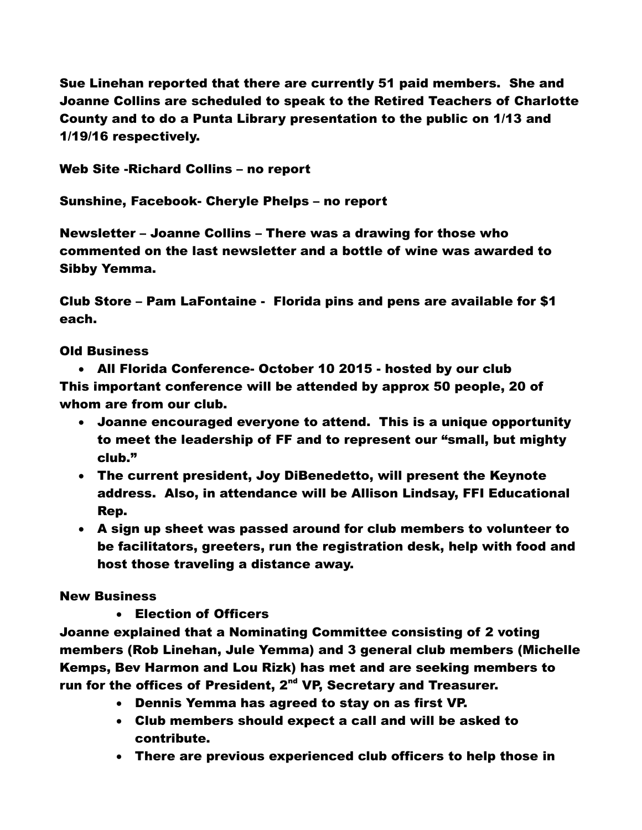Sue Linehan reported that there are currently 51 paid members. She and Joanne Collins are scheduled to speak to the Retired Teachers of Charlotte County and to do a Punta Library presentation to the public on 1/13 and 1/19/16 respectively.

Web Site -Richard Collins – no report

Sunshine, Facebook- Cheryle Phelps – no report

Newsletter – Joanne Collins – There was a drawing for those who commented on the last newsletter and a bottle of wine was awarded to Sibby Yemma.

Club Store – Pam LaFontaine - Florida pins and pens are available for \$1 each.

# Old Business

 All Florida Conference- October 10 2015 - hosted by our club This important conference will be attended by approx 50 people, 20 of whom are from our club.

- Joanne encouraged everyone to attend. This is a unique opportunity to meet the leadership of FF and to represent our "small, but mighty club."
- The current president, Joy DiBenedetto, will present the Keynote address. Also, in attendance will be Allison Lindsay, FFI Educational Rep.
- A sign up sheet was passed around for club members to volunteer to be facilitators, greeters, run the registration desk, help with food and host those traveling a distance away.

# New Business

Election of Officers

Joanne explained that a Nominating Committee consisting of 2 voting members (Rob Linehan, Jule Yemma) and 3 general club members (Michelle Kemps, Bev Harmon and Lou Rizk) has met and are seeking members to run for the offices of President,  $2^{nd}$  VP, Secretary and Treasurer.

- Dennis Yemma has agreed to stay on as first VP.
- Club members should expect a call and will be asked to contribute.
- There are previous experienced club officers to help those in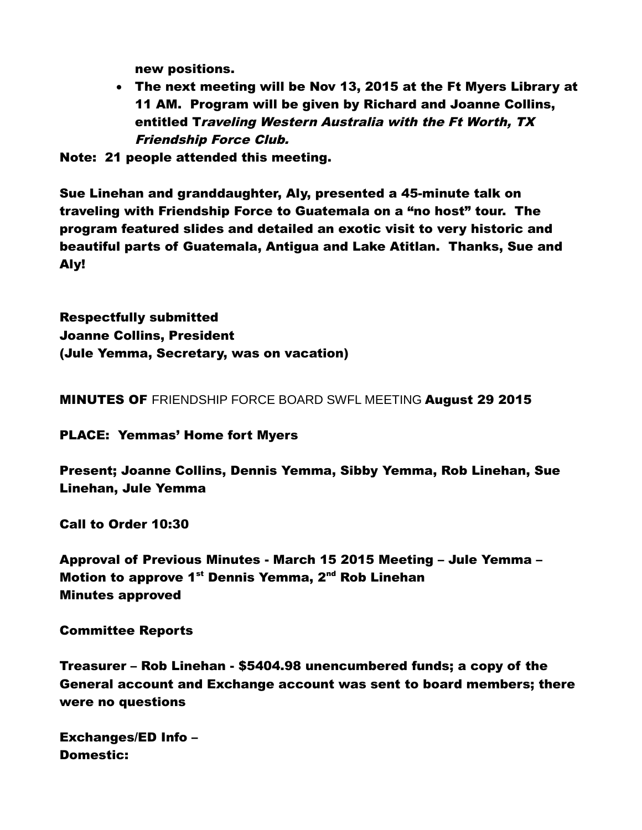new positions.

 The next meeting will be Nov 13, 2015 at the Ft Myers Library at 11 AM. Program will be given by Richard and Joanne Collins, entitled Traveling Western Australia with the Ft Worth, TX Friendship Force Club.

Note: 21 people attended this meeting.

Sue Linehan and granddaughter, Aly, presented a 45-minute talk on traveling with Friendship Force to Guatemala on a "no host" tour. The program featured slides and detailed an exotic visit to very historic and beautiful parts of Guatemala, Antigua and Lake Atitlan. Thanks, Sue and Aly!

Respectfully submitted Joanne Collins, President (Jule Yemma, Secretary, was on vacation)

MINUTES OF FRIENDSHIP FORCE BOARD SWFL MEETING August 29 2015

PLACE: Yemmas' Home fort Myers

Present; Joanne Collins, Dennis Yemma, Sibby Yemma, Rob Linehan, Sue Linehan, Jule Yemma

Call to Order 10:30

Approval of Previous Minutes - March 15 2015 Meeting – Jule Yemma – Motion to approve 1<sup>st</sup> Dennis Yemma, 2<sup>nd</sup> Rob Linehan Minutes approved

Committee Reports

Treasurer – Rob Linehan - \$5404.98 unencumbered funds; a copy of the General account and Exchange account was sent to board members; there were no questions

Exchanges/ED Info – Domestic: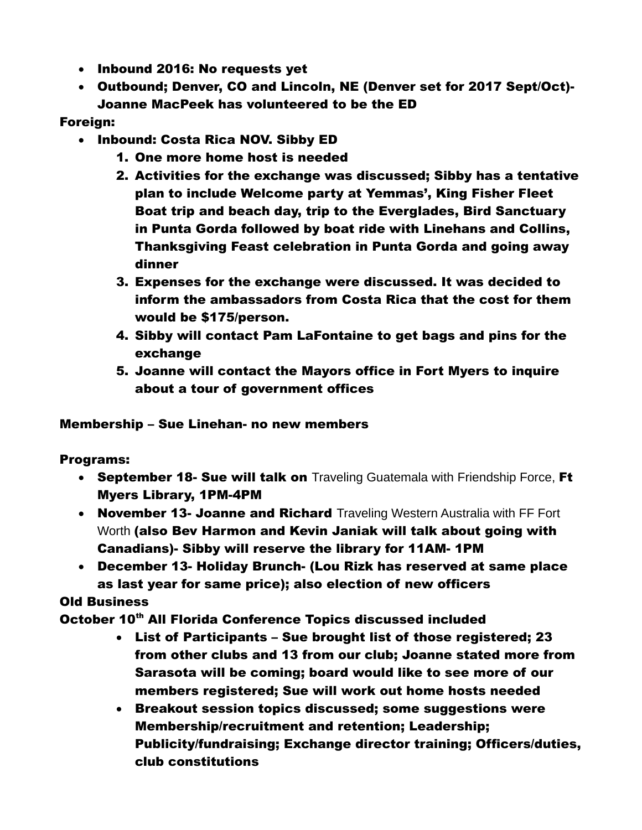- Inbound 2016: No requests yet
- Outbound; Denver, CO and Lincoln, NE (Denver set for 2017 Sept/Oct)- Joanne MacPeek has volunteered to be the ED

# Foreign:

- Inbound: Costa Rica NOV. Sibby ED
	- 1. One more home host is needed
	- 2. Activities for the exchange was discussed; Sibby has a tentative plan to include Welcome party at Yemmas', King Fisher Fleet Boat trip and beach day, trip to the Everglades, Bird Sanctuary in Punta Gorda followed by boat ride with Linehans and Collins, Thanksgiving Feast celebration in Punta Gorda and going away dinner
	- 3. Expenses for the exchange were discussed. It was decided to inform the ambassadors from Costa Rica that the cost for them would be \$175/person.
	- 4. Sibby will contact Pam LaFontaine to get bags and pins for the exchange
	- 5. Joanne will contact the Mayors office in Fort Myers to inquire about a tour of government offices

# Membership – Sue Linehan- no new members

# Programs:

- September 18- Sue will talk on Traveling Guatemala with Friendship Force, Ft Myers Library, 1PM-4PM
- November 13- Joanne and Richard Traveling Western Australia with FF Fort Worth (also Bev Harmon and Kevin Janiak will talk about going with Canadians)- Sibby will reserve the library for 11AM- 1PM
- December 13- Holiday Brunch- (Lou Rizk has reserved at same place as last year for same price); also election of new officers

# Old Business

October 10<sup>th</sup> All Florida Conference Topics discussed included

- List of Participants Sue brought list of those registered; 23 from other clubs and 13 from our club; Joanne stated more from Sarasota will be coming; board would like to see more of our members registered; Sue will work out home hosts needed
- Breakout session topics discussed; some suggestions were Membership/recruitment and retention; Leadership; Publicity/fundraising; Exchange director training; Officers/duties, club constitutions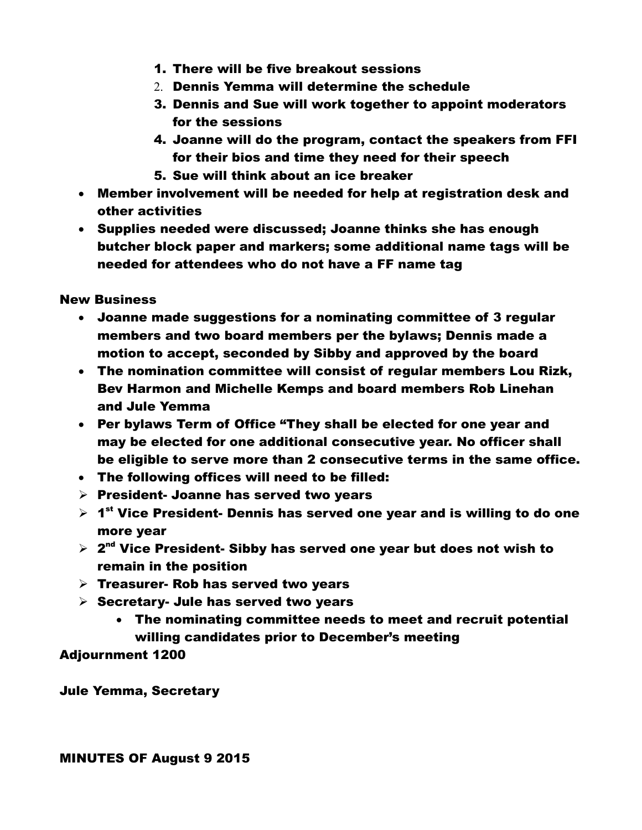- 1. There will be five breakout sessions
- 2. Dennis Yemma will determine the schedule
- 3. Dennis and Sue will work together to appoint moderators for the sessions
- 4. Joanne will do the program, contact the speakers from FFI for their bios and time they need for their speech
- 5. Sue will think about an ice breaker
- Member involvement will be needed for help at registration desk and other activities
- Supplies needed were discussed; Joanne thinks she has enough butcher block paper and markers; some additional name tags will be needed for attendees who do not have a FF name tag

New Business

- Joanne made suggestions for a nominating committee of 3 regular members and two board members per the bylaws; Dennis made a motion to accept, seconded by Sibby and approved by the board
- The nomination committee will consist of regular members Lou Rizk, Bev Harmon and Michelle Kemps and board members Rob Linehan and Jule Yemma
- Per bylaws Term of Office "They shall be elected for one year and may be elected for one additional consecutive year. No officer shall be eligible to serve more than 2 consecutive terms in the same office.
- The following offices will need to be filled:
- $\triangleright$  President- Joanne has served two years
- $\triangleright$  1<sup>st</sup> Vice President- Dennis has served one year and is willing to do one more year
- $\triangleright$  2<sup>nd</sup> Vice President- Sibby has served one year but does not wish to remain in the position
- $\triangleright$  Treasurer- Rob has served two years
- $\triangleright$  Secretary- Jule has served two years
	- The nominating committee needs to meet and recruit potential willing candidates prior to December's meeting

Adjournment 1200

Jule Yemma, Secretary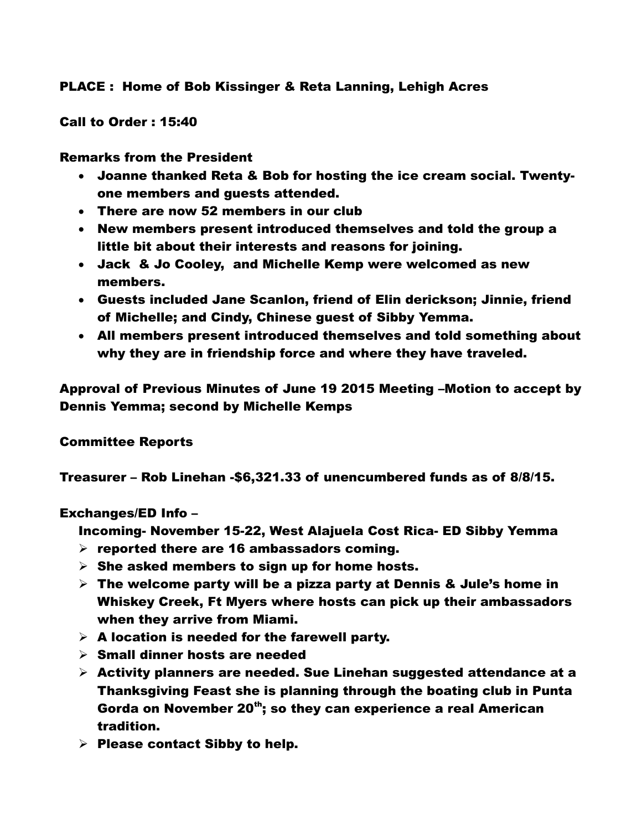# PLACE : Home of Bob Kissinger & Reta Lanning, Lehigh Acres

Call to Order : 15:40

## Remarks from the President

- Joanne thanked Reta & Bob for hosting the ice cream social. Twentyone members and guests attended.
- There are now 52 members in our club
- New members present introduced themselves and told the group a little bit about their interests and reasons for joining.
- Jack & Jo Cooley, and Michelle Kemp were welcomed as new members.
- Guests included Jane Scanlon, friend of Elin derickson; Jinnie, friend of Michelle; and Cindy, Chinese guest of Sibby Yemma.
- All members present introduced themselves and told something about why they are in friendship force and where they have traveled.

Approval of Previous Minutes of June 19 2015 Meeting –Motion to accept by Dennis Yemma; second by Michelle Kemps

# Committee Reports

Treasurer – Rob Linehan -\$6,321.33 of unencumbered funds as of 8/8/15.

# Exchanges/ED Info –

Incoming- November 15-22, West Alajuela Cost Rica- ED Sibby Yemma

- $\triangleright$  reported there are 16 ambassadors coming.
- $\triangleright$  She asked members to sign up for home hosts.
- $\triangleright$  The welcome party will be a pizza party at Dennis & Jule's home in Whiskey Creek, Ft Myers where hosts can pick up their ambassadors when they arrive from Miami.
- $\triangleright$  A location is needed for the farewell party.
- $\triangleright$  Small dinner hosts are needed
- $\triangleright$  Activity planners are needed. Sue Linehan suggested attendance at a Thanksgiving Feast she is planning through the boating club in Punta Gorda on November 20<sup>th</sup>; so they can experience a real American tradition.
- $\triangleright$  Please contact Sibby to help.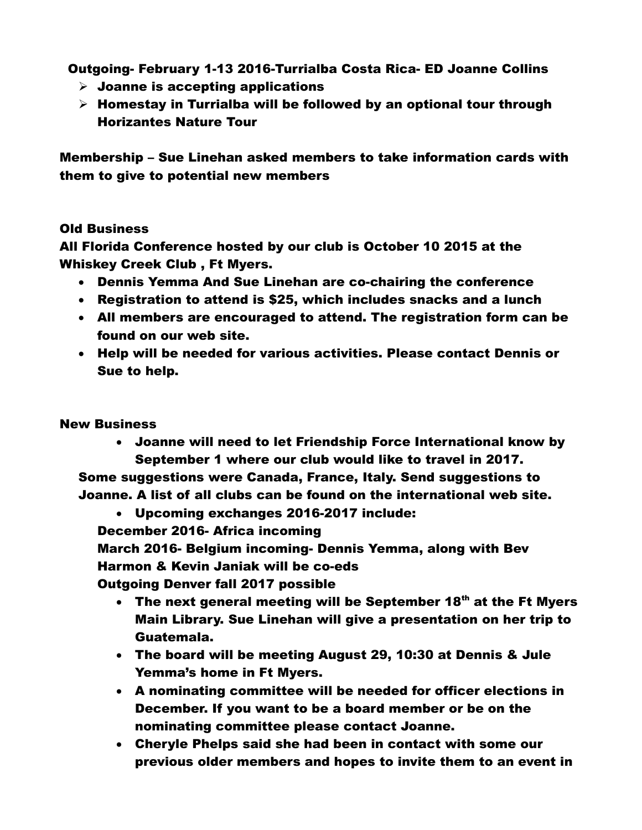Outgoing- February 1-13 2016-Turrialba Costa Rica- ED Joanne Collins

- $\triangleright$  Joanne is accepting applications
- $\triangleright$  Homestay in Turrialba will be followed by an optional tour through Horizantes Nature Tour

Membership – Sue Linehan asked members to take information cards with them to give to potential new members

# Old Business

All Florida Conference hosted by our club is October 10 2015 at the Whiskey Creek Club , Ft Myers.

- Dennis Yemma And Sue Linehan are co-chairing the conference
- Registration to attend is \$25, which includes snacks and a lunch
- All members are encouraged to attend. The registration form can be found on our web site.
- Help will be needed for various activities. Please contact Dennis or Sue to help.

# New Business

 Joanne will need to let Friendship Force International know by September 1 where our club would like to travel in 2017.

Some suggestions were Canada, France, Italy. Send suggestions to Joanne. A list of all clubs can be found on the international web site.

 Upcoming exchanges 2016-2017 include: December 2016- Africa incoming March 2016- Belgium incoming- Dennis Yemma, along with Bev

Harmon & Kevin Janiak will be co-eds

Outgoing Denver fall 2017 possible

- $\cdot$  The next general meeting will be September 18<sup>th</sup> at the Ft Myers Main Library. Sue Linehan will give a presentation on her trip to Guatemala.
- The board will be meeting August 29, 10:30 at Dennis & Jule Yemma's home in Ft Myers.
- A nominating committee will be needed for officer elections in December. If you want to be a board member or be on the nominating committee please contact Joanne.
- Cheryle Phelps said she had been in contact with some our previous older members and hopes to invite them to an event in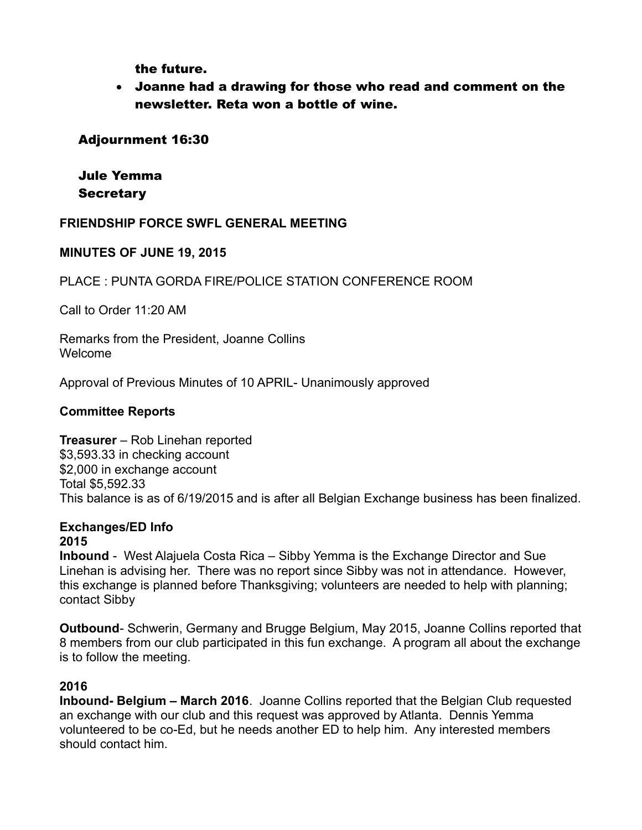the future.

 Joanne had a drawing for those who read and comment on the newsletter. Reta won a bottle of wine.

# Adjournment 16:30

# Jule Yemma **Secretary**

## **FRIENDSHIP FORCE SWFL GENERAL MEETING**

## **MINUTES OF JUNE 19, 2015**

PLACE : PUNTA GORDA FIRE/POLICE STATION CONFERENCE ROOM

Call to Order 11:20 AM

Remarks from the President, Joanne Collins Welcome

Approval of Previous Minutes of 10 APRIL- Unanimously approved

## **Committee Reports**

**Treasurer** – Rob Linehan reported \$3,593.33 in checking account \$2,000 in exchange account Total \$5,592.33 This balance is as of 6/19/2015 and is after all Belgian Exchange business has been finalized.

#### **Exchanges/ED Info 2015**

**Inbound** - West Alajuela Costa Rica – Sibby Yemma is the Exchange Director and Sue Linehan is advising her. There was no report since Sibby was not in attendance. However, this exchange is planned before Thanksgiving; volunteers are needed to help with planning; contact Sibby

**Outbound**- Schwerin, Germany and Brugge Belgium, May 2015, Joanne Collins reported that 8 members from our club participated in this fun exchange. A program all about the exchange is to follow the meeting.

# **2016**

**Inbound- Belgium – March 2016**. Joanne Collins reported that the Belgian Club requested an exchange with our club and this request was approved by Atlanta. Dennis Yemma volunteered to be co-Ed, but he needs another ED to help him. Any interested members should contact him.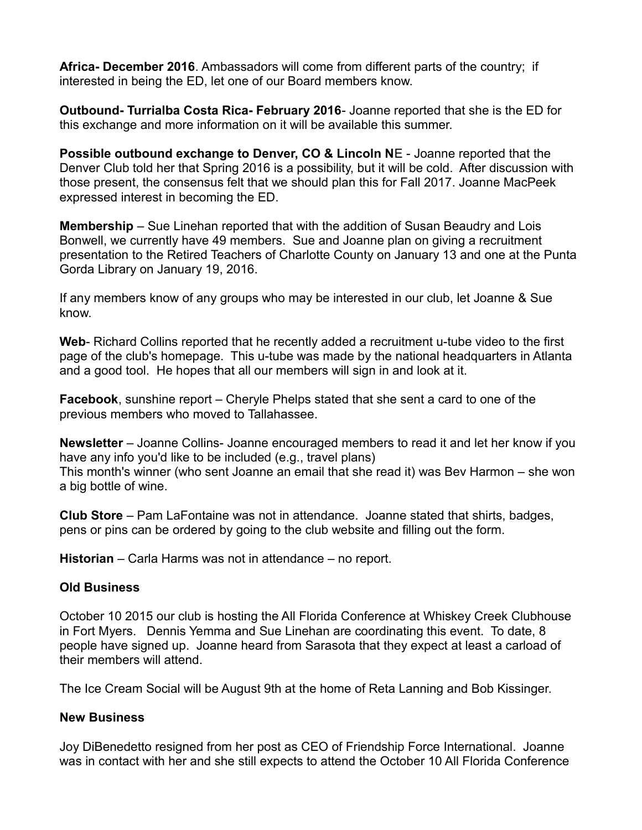**Africa- December 2016**. Ambassadors will come from different parts of the country; if interested in being the ED, let one of our Board members know.

**Outbound- Turrialba Costa Rica- February 2016**- Joanne reported that she is the ED for this exchange and more information on it will be available this summer.

**Possible outbound exchange to Denver, CO & Lincoln N**E - Joanne reported that the Denver Club told her that Spring 2016 is a possibility, but it will be cold. After discussion with those present, the consensus felt that we should plan this for Fall 2017. Joanne MacPeek expressed interest in becoming the ED.

**Membership** – Sue Linehan reported that with the addition of Susan Beaudry and Lois Bonwell, we currently have 49 members. Sue and Joanne plan on giving a recruitment presentation to the Retired Teachers of Charlotte County on January 13 and one at the Punta Gorda Library on January 19, 2016.

If any members know of any groups who may be interested in our club, let Joanne & Sue know.

**Web**- Richard Collins reported that he recently added a recruitment u-tube video to the first page of the club's homepage. This u-tube was made by the national headquarters in Atlanta and a good tool. He hopes that all our members will sign in and look at it.

**Facebook**, sunshine report – Cheryle Phelps stated that she sent a card to one of the previous members who moved to Tallahassee.

**Newsletter** – Joanne Collins- Joanne encouraged members to read it and let her know if you have any info you'd like to be included (e.g., travel plans) This month's winner (who sent Joanne an email that she read it) was Bev Harmon – she won a big bottle of wine.

**Club Store** – Pam LaFontaine was not in attendance. Joanne stated that shirts, badges, pens or pins can be ordered by going to the club website and filling out the form.

**Historian** – Carla Harms was not in attendance – no report.

## **Old Business**

October 10 2015 our club is hosting the All Florida Conference at Whiskey Creek Clubhouse in Fort Myers. Dennis Yemma and Sue Linehan are coordinating this event. To date, 8 people have signed up. Joanne heard from Sarasota that they expect at least a carload of their members will attend.

The Ice Cream Social will be August 9th at the home of Reta Lanning and Bob Kissinger.

## **New Business**

Joy DiBenedetto resigned from her post as CEO of Friendship Force International. Joanne was in contact with her and she still expects to attend the October 10 All Florida Conference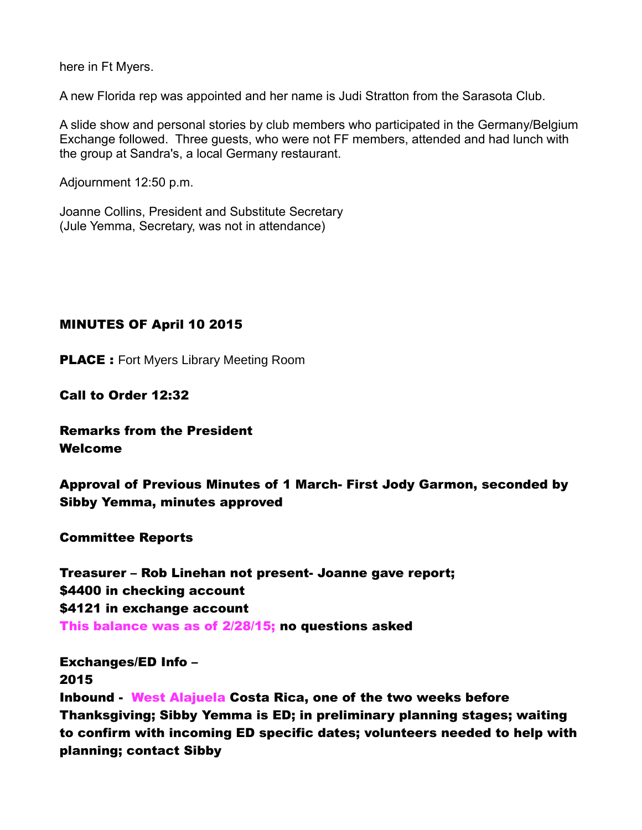here in Ft Myers.

A new Florida rep was appointed and her name is Judi Stratton from the Sarasota Club.

A slide show and personal stories by club members who participated in the Germany/Belgium Exchange followed. Three guests, who were not FF members, attended and had lunch with the group at Sandra's, a local Germany restaurant.

Adjournment 12:50 p.m.

Joanne Collins, President and Substitute Secretary (Jule Yemma, Secretary, was not in attendance)

# MINUTES OF April 10 2015

**PLACE** : Fort Myers Library Meeting Room

Call to Order 12:32

# Remarks from the President Welcome

Approval of Previous Minutes of 1 March- First Jody Garmon, seconded by Sibby Yemma, minutes approved

## Committee Reports

Treasurer – Rob Linehan not present- Joanne gave report; \$4400 in checking account \$4121 in exchange account This balance was as of 2/28/15; no questions asked

## Exchanges/ED Info – 2015

Inbound - West Alajuela Costa Rica, one of the two weeks before Thanksgiving; Sibby Yemma is ED; in preliminary planning stages; waiting to confirm with incoming ED specific dates; volunteers needed to help with planning; contact Sibby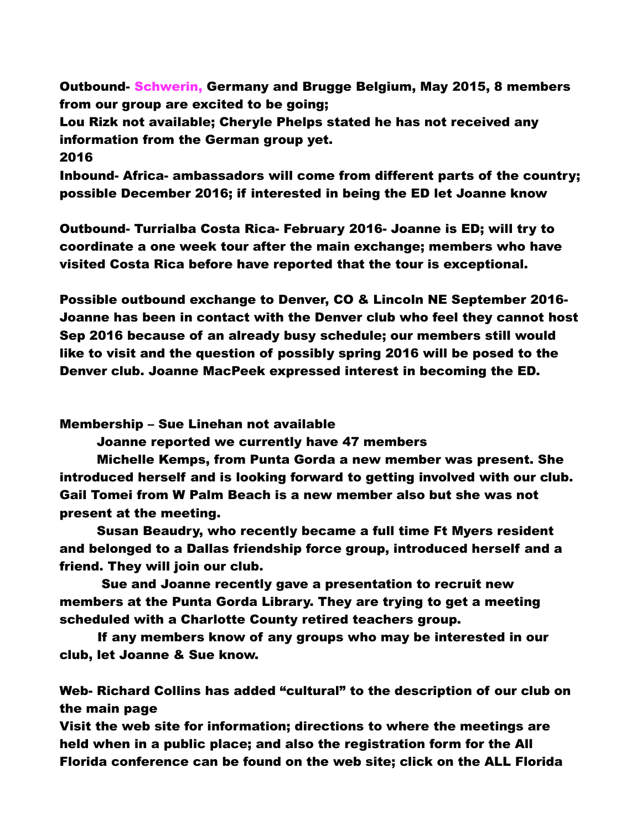Outbound- Schwerin, Germany and Brugge Belgium, May 2015, 8 members from our group are excited to be going;

Lou Rizk not available; Cheryle Phelps stated he has not received any information from the German group yet.

2016

Inbound- Africa- ambassadors will come from different parts of the country; possible December 2016; if interested in being the ED let Joanne know

Outbound- Turrialba Costa Rica- February 2016- Joanne is ED; will try to coordinate a one week tour after the main exchange; members who have visited Costa Rica before have reported that the tour is exceptional.

Possible outbound exchange to Denver, CO & Lincoln NE September 2016- Joanne has been in contact with the Denver club who feel they cannot host Sep 2016 because of an already busy schedule; our members still would like to visit and the question of possibly spring 2016 will be posed to the Denver club. Joanne MacPeek expressed interest in becoming the ED.

Membership – Sue Linehan not available

Joanne reported we currently have 47 members

Michelle Kemps, from Punta Gorda a new member was present. She introduced herself and is looking forward to getting involved with our club. Gail Tomei from W Palm Beach is a new member also but she was not present at the meeting.

Susan Beaudry, who recently became a full time Ft Myers resident and belonged to a Dallas friendship force group, introduced herself and a friend. They will join our club.

 Sue and Joanne recently gave a presentation to recruit new members at the Punta Gorda Library. They are trying to get a meeting scheduled with a Charlotte County retired teachers group.

If any members know of any groups who may be interested in our club, let Joanne & Sue know.

Web- Richard Collins has added "cultural" to the description of our club on the main page

Visit the web site for information; directions to where the meetings are held when in a public place; and also the registration form for the All Florida conference can be found on the web site; click on the ALL Florida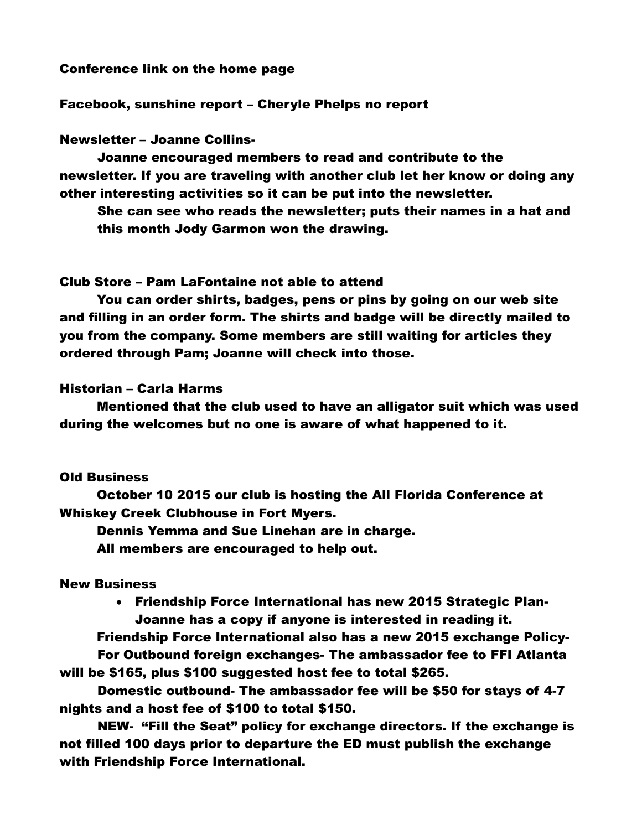#### Conference link on the home page

#### Facebook, sunshine report – Cheryle Phelps no report

### Newsletter – Joanne Collins-

Joanne encouraged members to read and contribute to the newsletter. If you are traveling with another club let her know or doing any other interesting activities so it can be put into the newsletter.

She can see who reads the newsletter; puts their names in a hat and this month Jody Garmon won the drawing.

#### Club Store – Pam LaFontaine not able to attend

You can order shirts, badges, pens or pins by going on our web site and filling in an order form. The shirts and badge will be directly mailed to you from the company. Some members are still waiting for articles they ordered through Pam; Joanne will check into those.

#### Historian – Carla Harms

Mentioned that the club used to have an alligator suit which was used during the welcomes but no one is aware of what happened to it.

#### Old Business

October 10 2015 our club is hosting the All Florida Conference at Whiskey Creek Clubhouse in Fort Myers.

Dennis Yemma and Sue Linehan are in charge.

All members are encouraged to help out.

## New Business

 Friendship Force International has new 2015 Strategic Plan-Joanne has a copy if anyone is interested in reading it.

Friendship Force International also has a new 2015 exchange Policy-For Outbound foreign exchanges- The ambassador fee to FFI Atlanta

will be \$165, plus \$100 suggested host fee to total \$265.

Domestic outbound- The ambassador fee will be \$50 for stays of 4-7 nights and a host fee of \$100 to total \$150.

NEW- "Fill the Seat" policy for exchange directors. If the exchange is not filled 100 days prior to departure the ED must publish the exchange with Friendship Force International.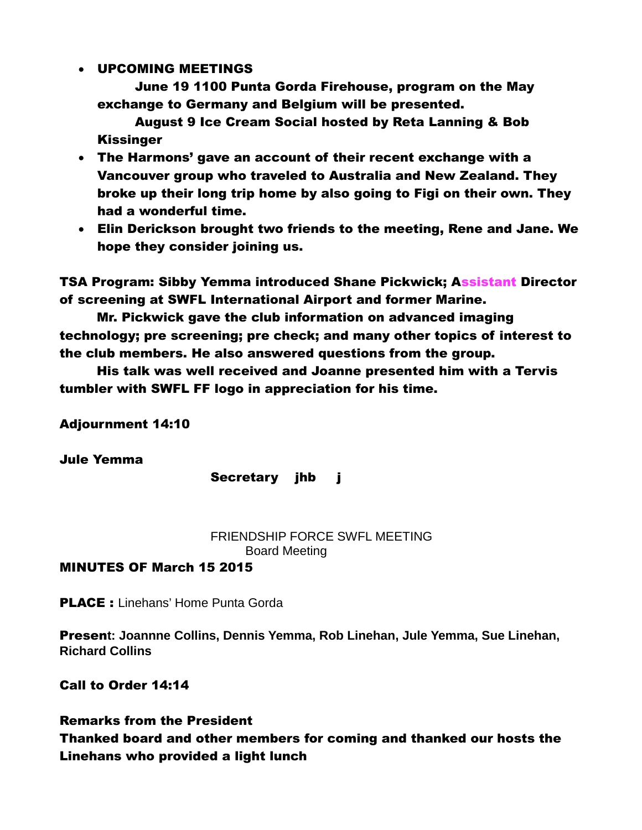## UPCOMING MEETINGS

June 19 1100 Punta Gorda Firehouse, program on the May exchange to Germany and Belgium will be presented.

August 9 Ice Cream Social hosted by Reta Lanning & Bob Kissinger

- The Harmons' gave an account of their recent exchange with a Vancouver group who traveled to Australia and New Zealand. They broke up their long trip home by also going to Figi on their own. They had a wonderful time.
- Elin Derickson brought two friends to the meeting, Rene and Jane. We hope they consider joining us.

TSA Program: Sibby Yemma introduced Shane Pickwick; Assistant Director of screening at SWFL International Airport and former Marine.

Mr. Pickwick gave the club information on advanced imaging technology; pre screening; pre check; and many other topics of interest to the club members. He also answered questions from the group.

His talk was well received and Joanne presented him with a Tervis tumbler with SWFL FF logo in appreciation for his time.

Adjournment 14:10

Jule Yemma

Secretary jhb j

FRIENDSHIP FORCE SWFL MEETING Board Meeting

# MINUTES OF March 15 2015

**PLACE:** Linehans' Home Punta Gorda

Presen**t: Joannne Collins, Dennis Yemma, Rob Linehan, Jule Yemma, Sue Linehan, Richard Collins**

Call to Order 14:14

# Remarks from the President

Thanked board and other members for coming and thanked our hosts the Linehans who provided a light lunch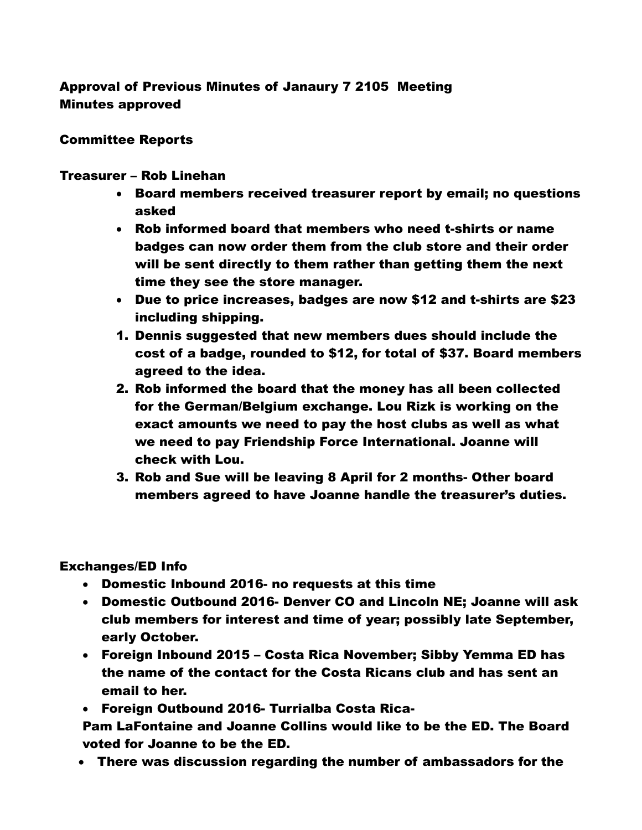# Approval of Previous Minutes of Janaury 7 2105 Meeting Minutes approved

## Committee Reports

## Treasurer – Rob Linehan

- Board members received treasurer report by email; no questions asked
- Rob informed board that members who need t-shirts or name badges can now order them from the club store and their order will be sent directly to them rather than getting them the next time they see the store manager.
- Due to price increases, badges are now \$12 and t-shirts are \$23 including shipping.
- 1. Dennis suggested that new members dues should include the cost of a badge, rounded to \$12, for total of \$37. Board members agreed to the idea.
- 2. Rob informed the board that the money has all been collected for the German/Belgium exchange. Lou Rizk is working on the exact amounts we need to pay the host clubs as well as what we need to pay Friendship Force International. Joanne will check with Lou.
- 3. Rob and Sue will be leaving 8 April for 2 months- Other board members agreed to have Joanne handle the treasurer's duties.

# Exchanges/ED Info

- Domestic Inbound 2016- no requests at this time
- Domestic Outbound 2016- Denver CO and Lincoln NE; Joanne will ask club members for interest and time of year; possibly late September, early October.
- Foreign Inbound 2015 Costa Rica November; Sibby Yemma ED has the name of the contact for the Costa Ricans club and has sent an email to her.
- Foreign Outbound 2016- Turrialba Costa Rica-

Pam LaFontaine and Joanne Collins would like to be the ED. The Board voted for Joanne to be the ED.

There was discussion regarding the number of ambassadors for the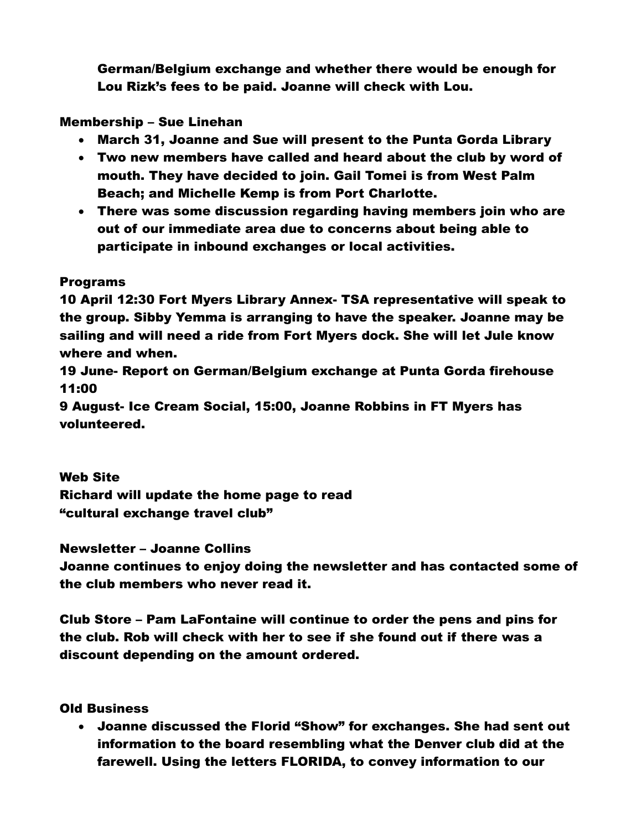German/Belgium exchange and whether there would be enough for Lou Rizk's fees to be paid. Joanne will check with Lou.

# Membership – Sue Linehan

- March 31, Joanne and Sue will present to the Punta Gorda Library
- Two new members have called and heard about the club by word of mouth. They have decided to join. Gail Tomei is from West Palm Beach; and Michelle Kemp is from Port Charlotte.
- There was some discussion regarding having members join who are out of our immediate area due to concerns about being able to participate in inbound exchanges or local activities.

# Programs

10 April 12:30 Fort Myers Library Annex- TSA representative will speak to the group. Sibby Yemma is arranging to have the speaker. Joanne may be sailing and will need a ride from Fort Myers dock. She will let Jule know where and when.

19 June- Report on German/Belgium exchange at Punta Gorda firehouse 11:00

9 August- Ice Cream Social, 15:00, Joanne Robbins in FT Myers has volunteered.

# Web Site

Richard will update the home page to read "cultural exchange travel club"

Newsletter – Joanne Collins

Joanne continues to enjoy doing the newsletter and has contacted some of the club members who never read it.

Club Store – Pam LaFontaine will continue to order the pens and pins for the club. Rob will check with her to see if she found out if there was a discount depending on the amount ordered.

# Old Business

 Joanne discussed the Florid "Show" for exchanges. She had sent out information to the board resembling what the Denver club did at the farewell. Using the letters FLORIDA, to convey information to our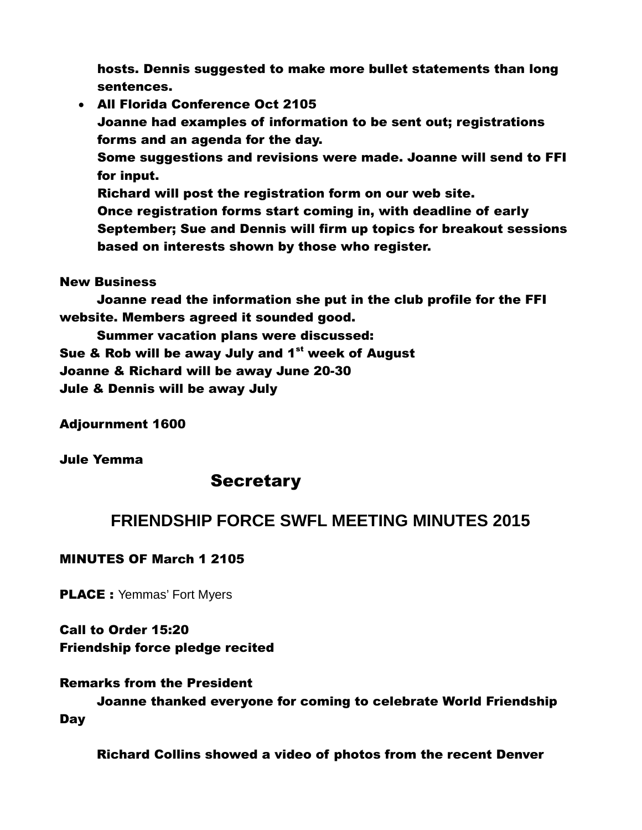hosts. Dennis suggested to make more bullet statements than long sentences.

 All Florida Conference Oct 2105 Joanne had examples of information to be sent out; registrations forms and an agenda for the day. Some suggestions and revisions were made. Joanne will send to FFI for input. Richard will post the registration form on our web site. Once registration forms start coming in, with deadline of early September; Sue and Dennis will firm up topics for breakout sessions based on interests shown by those who register.

## New Business

Joanne read the information she put in the club profile for the FFI website. Members agreed it sounded good.

Summer vacation plans were discussed: Sue & Rob will be away July and  $1<sup>st</sup>$  week of August Joanne & Richard will be away June 20-30 Jule & Dennis will be away July

Adjournment 1600

Jule Yemma

# **Secretary**

# **FRIENDSHIP FORCE SWFL MEETING MINUTES 2015**

# MINUTES OF March 1 2105

**PLACE** : Yemmas' Fort Myers

Call to Order 15:20 Friendship force pledge recited

# Remarks from the President

Joanne thanked everyone for coming to celebrate World Friendship **Day** 

Richard Collins showed a video of photos from the recent Denver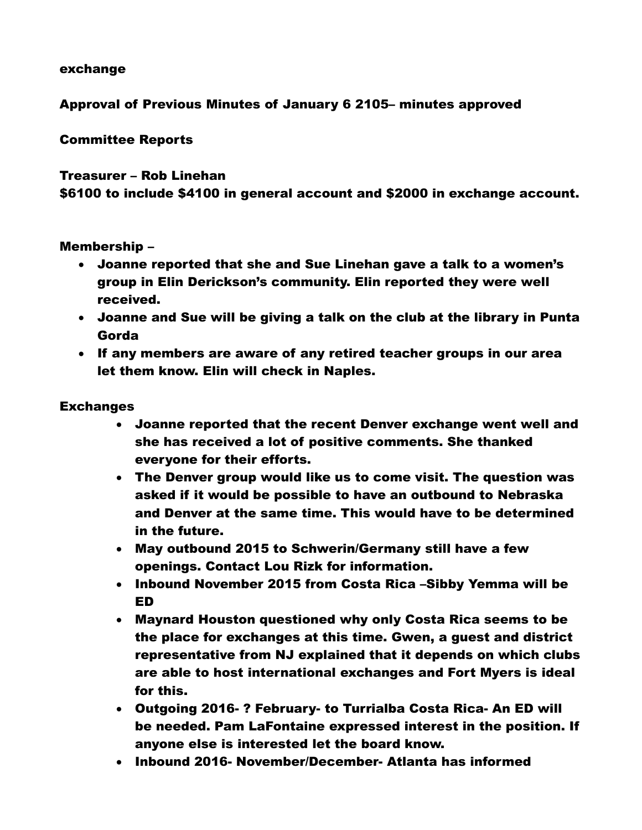## exchange

# Approval of Previous Minutes of January 6 2105– minutes approved

# Committee Reports

# Treasurer – Rob Linehan \$6100 to include \$4100 in general account and \$2000 in exchange account.

## Membership –

- Joanne reported that she and Sue Linehan gave a talk to a women's group in Elin Derickson's community. Elin reported they were well received.
- Joanne and Sue will be giving a talk on the club at the library in Punta Gorda
- If any members are aware of any retired teacher groups in our area let them know. Elin will check in Naples.

## **Exchanges**

- Joanne reported that the recent Denver exchange went well and she has received a lot of positive comments. She thanked everyone for their efforts.
- The Denver group would like us to come visit. The question was asked if it would be possible to have an outbound to Nebraska and Denver at the same time. This would have to be determined in the future.
- May outbound 2015 to Schwerin/Germany still have a few openings. Contact Lou Rizk for information.
- Inbound November 2015 from Costa Rica -Sibby Yemma will be ED
- Maynard Houston questioned why only Costa Rica seems to be the place for exchanges at this time. Gwen, a guest and district representative from NJ explained that it depends on which clubs are able to host international exchanges and Fort Myers is ideal for this.
- Outgoing 2016- ? February- to Turrialba Costa Rica- An ED will be needed. Pam LaFontaine expressed interest in the position. If anyone else is interested let the board know.
- Inbound 2016- November/December- Atlanta has informed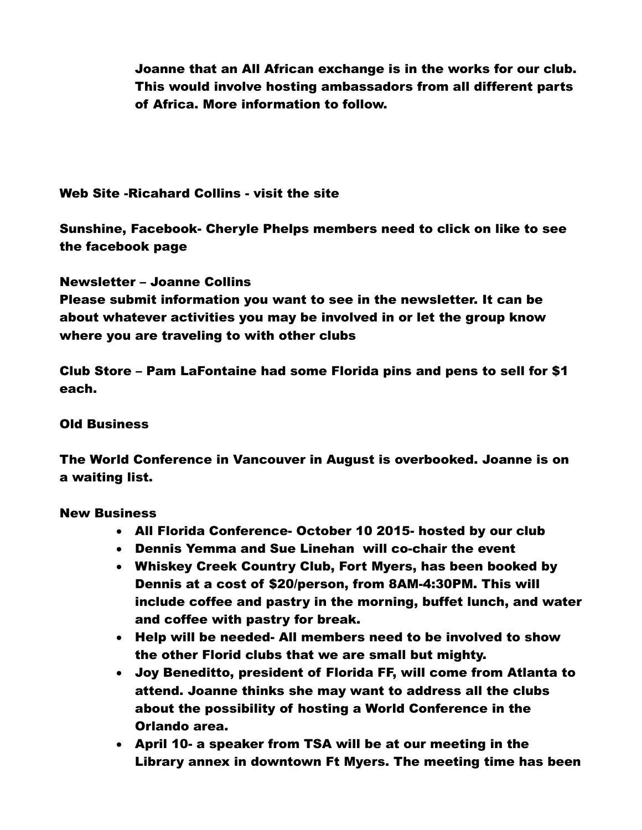Joanne that an All African exchange is in the works for our club. This would involve hosting ambassadors from all different parts of Africa. More information to follow.

# Web Site -Ricahard Collins - visit the site

Sunshine, Facebook- Cheryle Phelps members need to click on like to see the facebook page

Newsletter – Joanne Collins

Please submit information you want to see in the newsletter. It can be about whatever activities you may be involved in or let the group know where you are traveling to with other clubs

Club Store – Pam LaFontaine had some Florida pins and pens to sell for \$1 each.

## Old Business

The World Conference in Vancouver in August is overbooked. Joanne is on a waiting list.

## New Business

- All Florida Conference- October 10 2015- hosted by our club
- Dennis Yemma and Sue Linehan will co-chair the event
- Whiskey Creek Country Club, Fort Myers, has been booked by Dennis at a cost of \$20/person, from 8AM-4:30PM. This will include coffee and pastry in the morning, buffet lunch, and water and coffee with pastry for break.
- Help will be needed- All members need to be involved to show the other Florid clubs that we are small but mighty.
- Joy Beneditto, president of Florida FF, will come from Atlanta to attend. Joanne thinks she may want to address all the clubs about the possibility of hosting a World Conference in the Orlando area.
- April 10- a speaker from TSA will be at our meeting in the Library annex in downtown Ft Myers. The meeting time has been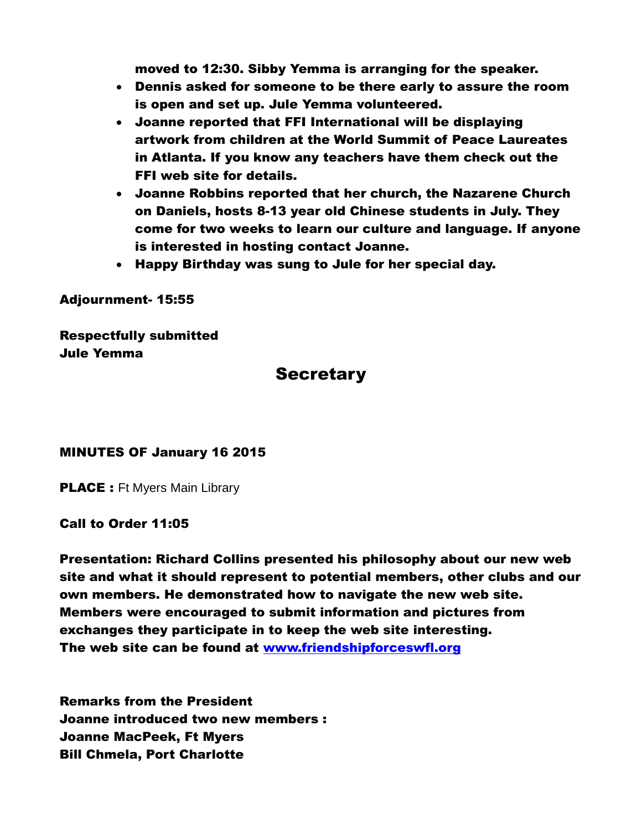moved to 12:30. Sibby Yemma is arranging for the speaker.

- Dennis asked for someone to be there early to assure the room is open and set up. Jule Yemma volunteered.
- Joanne reported that FFI International will be displaying artwork from children at the World Summit of Peace Laureates in Atlanta. If you know any teachers have them check out the FFI web site for details.
- Joanne Robbins reported that her church, the Nazarene Church on Daniels, hosts 8-13 year old Chinese students in July. They come for two weeks to learn our culture and language. If anyone is interested in hosting contact Joanne.
- Happy Birthday was sung to Jule for her special day.

Adjournment- 15:55

Respectfully submitted Jule Yemma

# **Secretary**

## MINUTES OF January 16 2015

**PLACE** : Ft Myers Main Library

## Call to Order 11:05

Presentation: Richard Collins presented his philosophy about our new web site and what it should represent to potential members, other clubs and our own members. He demonstrated how to navigate the new web site. Members were encouraged to submit information and pictures from exchanges they participate in to keep the web site interesting. The web site can be found at [www.friendshipforceswfl.org](http://www.friendshipforceswfl.org/)

Remarks from the President Joanne introduced two new members : Joanne MacPeek, Ft Myers Bill Chmela, Port Charlotte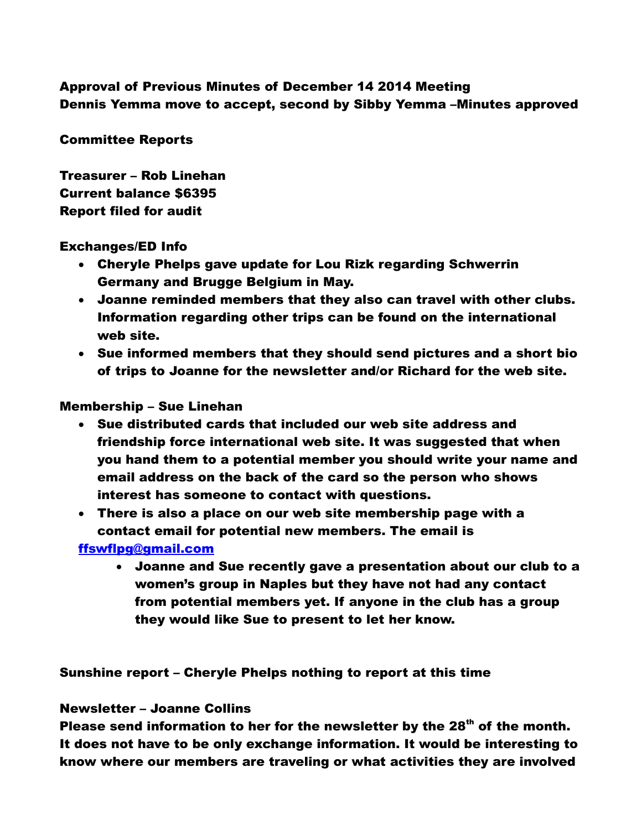# Approval of Previous Minutes of December 14 2014 Meeting Dennis Yemma move to accept, second by Sibby Yemma –Minutes approved

## Committee Reports

Treasurer – Rob Linehan Current balance \$6395 Report filed for audit

## Exchanges/ED Info

- Cheryle Phelps gave update for Lou Rizk regarding Schwerrin Germany and Brugge Belgium in May.
- Joanne reminded members that they also can travel with other clubs. Information regarding other trips can be found on the international web site.
- Sue informed members that they should send pictures and a short bio of trips to Joanne for the newsletter and/or Richard for the web site.

## Membership – Sue Linehan

- Sue distributed cards that included our web site address and friendship force international web site. It was suggested that when you hand them to a potential member you should write your name and email address on the back of the card so the person who shows interest has someone to contact with questions.
- There is also a place on our web site membership page with a contact email for potential new members. The email is

## [ffswflpg@gmail.com](mailto:ffswflpg@gmail.com)

 Joanne and Sue recently gave a presentation about our club to a women's group in Naples but they have not had any contact from potential members yet. If anyone in the club has a group they would like Sue to present to let her know.

Sunshine report – Cheryle Phelps nothing to report at this time

## Newsletter – Joanne Collins

Please send information to her for the newsletter by the  $28<sup>th</sup>$  of the month. It does not have to be only exchange information. It would be interesting to know where our members are traveling or what activities they are involved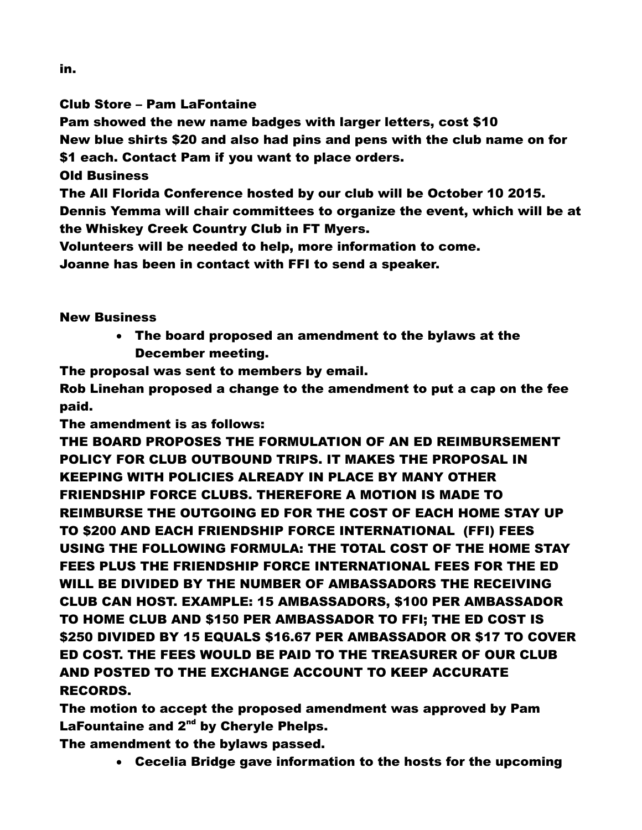Club Store – Pam LaFontaine

Pam showed the new name badges with larger letters, cost \$10

New blue shirts \$20 and also had pins and pens with the club name on for

\$1 each. Contact Pam if you want to place orders.

Old Business

The All Florida Conference hosted by our club will be October 10 2015.

Dennis Yemma will chair committees to organize the event, which will be at the Whiskey Creek Country Club in FT Myers.

Volunteers will be needed to help, more information to come.

Joanne has been in contact with FFI to send a speaker.

## New Business

 The board proposed an amendment to the bylaws at the December meeting.

The proposal was sent to members by email.

Rob Linehan proposed a change to the amendment to put a cap on the fee paid.

The amendment is as follows:

THE BOARD PROPOSES THE FORMULATION OF AN ED REIMBURSEMENT POLICY FOR CLUB OUTBOUND TRIPS. IT MAKES THE PROPOSAL IN KEEPING WITH POLICIES ALREADY IN PLACE BY MANY OTHER FRIENDSHIP FORCE CLUBS. THEREFORE A MOTION IS MADE TO REIMBURSE THE OUTGOING ED FOR THE COST OF EACH HOME STAY UP TO \$200 AND EACH FRIENDSHIP FORCE INTERNATIONAL (FFI) FEES USING THE FOLLOWING FORMULA: THE TOTAL COST OF THE HOME STAY FEES PLUS THE FRIENDSHIP FORCE INTERNATIONAL FEES FOR THE ED WILL BE DIVIDED BY THE NUMBER OF AMBASSADORS THE RECEIVING CLUB CAN HOST. EXAMPLE: 15 AMBASSADORS, \$100 PER AMBASSADOR TO HOME CLUB AND \$150 PER AMBASSADOR TO FFI; THE ED COST IS \$250 DIVIDED BY 15 EQUALS \$16.67 PER AMBASSADOR OR \$17 TO COVER ED COST. THE FEES WOULD BE PAID TO THE TREASURER OF OUR CLUB AND POSTED TO THE EXCHANGE ACCOUNT TO KEEP ACCURATE RECORDS.

The motion to accept the proposed amendment was approved by Pam LaFountaine and  $2<sup>nd</sup>$  by Cheryle Phelps.

The amendment to the bylaws passed.

Cecelia Bridge gave information to the hosts for the upcoming

in.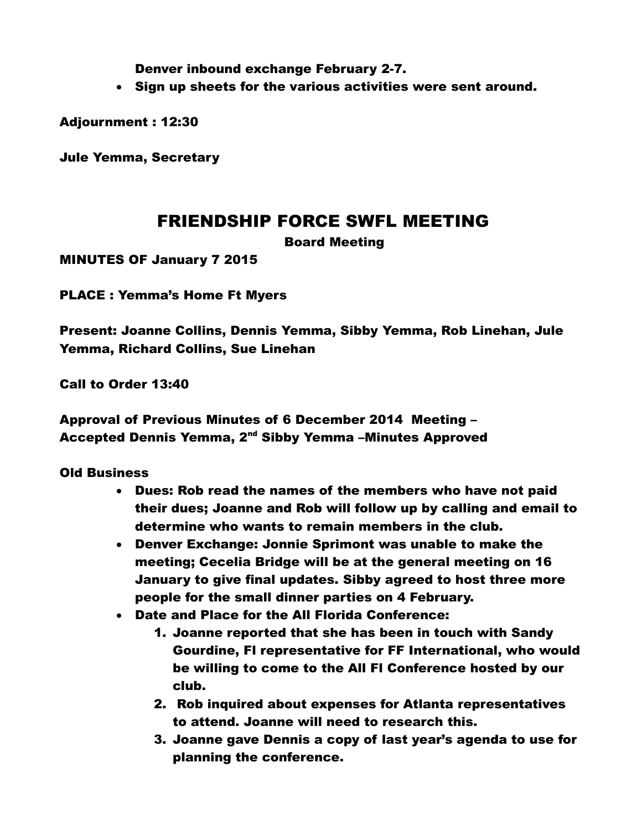Denver inbound exchange February 2-7.

Sign up sheets for the various activities were sent around.

Adjournment : 12:30

Jule Yemma, Secretary

# FRIENDSHIP FORCE SWFL MEETING

Board Meeting

MINUTES OF January 7 2015

PLACE : Yemma's Home Ft Myers

Present: Joanne Collins, Dennis Yemma, Sibby Yemma, Rob Linehan, Jule Yemma, Richard Collins, Sue Linehan

Call to Order 13:40

Approval of Previous Minutes of 6 December 2014 Meeting – Accepted Dennis Yemma, 2<sup>nd</sup> Sibby Yemma -Minutes Approved

Old Business

- Dues: Rob read the names of the members who have not paid their dues; Joanne and Rob will follow up by calling and email to determine who wants to remain members in the club.
- Denver Exchange: Jonnie Sprimont was unable to make the meeting; Cecelia Bridge will be at the general meeting on 16 January to give final updates. Sibby agreed to host three more people for the small dinner parties on 4 February.
- Date and Place for the All Florida Conference:
	- 1. Joanne reported that she has been in touch with Sandy Gourdine, Fl representative for FF International, who would be willing to come to the All Fl Conference hosted by our club.
	- 2. Rob inquired about expenses for Atlanta representatives to attend. Joanne will need to research this.
	- 3. Joanne gave Dennis a copy of last year's agenda to use for planning the conference.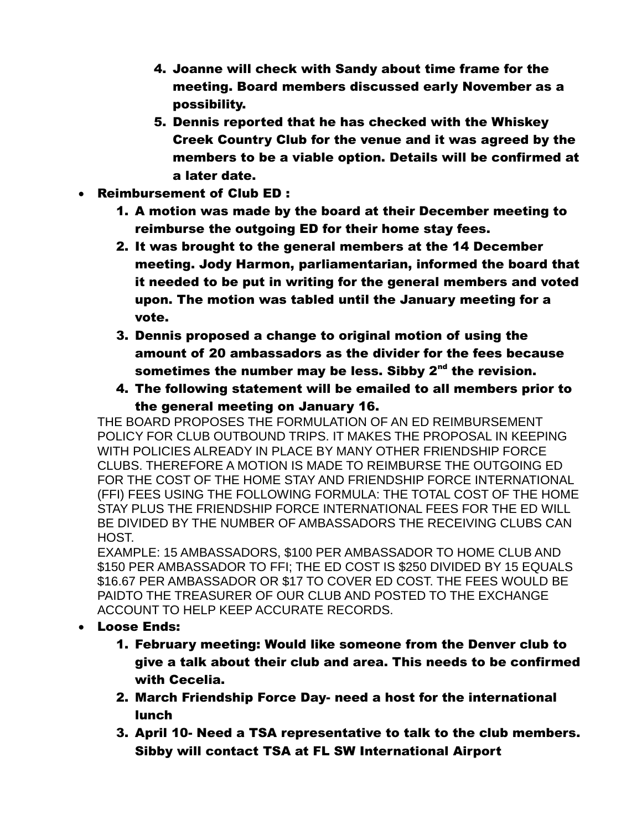- 4. Joanne will check with Sandy about time frame for the meeting. Board members discussed early November as a possibility.
- 5. Dennis reported that he has checked with the Whiskey Creek Country Club for the venue and it was agreed by the members to be a viable option. Details will be confirmed at a later date.
- Reimbursement of Club ED :
	- 1. A motion was made by the board at their December meeting to reimburse the outgoing ED for their home stay fees.
	- 2. It was brought to the general members at the 14 December meeting. Jody Harmon, parliamentarian, informed the board that it needed to be put in writing for the general members and voted upon. The motion was tabled until the January meeting for a vote.
	- 3. Dennis proposed a change to original motion of using the amount of 20 ambassadors as the divider for the fees because sometimes the number may be less. Sibby 2<sup>nd</sup> the revision.
	- 4. The following statement will be emailed to all members prior to the general meeting on January 16.

THE BOARD PROPOSES THE FORMULATION OF AN ED REIMBURSEMENT POLICY FOR CLUB OUTBOUND TRIPS. IT MAKES THE PROPOSAL IN KEEPING WITH POLICIES ALREADY IN PLACE BY MANY OTHER FRIENDSHIP FORCE CLUBS. THEREFORE A MOTION IS MADE TO REIMBURSE THE OUTGOING ED FOR THE COST OF THE HOME STAY AND FRIENDSHIP FORCE INTERNATIONAL (FFI) FEES USING THE FOLLOWING FORMULA: THE TOTAL COST OF THE HOME STAY PLUS THE FRIENDSHIP FORCE INTERNATIONAL FEES FOR THE ED WILL BE DIVIDED BY THE NUMBER OF AMBASSADORS THE RECEIVING CLUBS CAN HOST.

EXAMPLE: 15 AMBASSADORS, \$100 PER AMBASSADOR TO HOME CLUB AND \$150 PER AMBASSADOR TO FFI; THE ED COST IS \$250 DIVIDED BY 15 EQUALS \$16.67 PER AMBASSADOR OR \$17 TO COVER ED COST. THE FEES WOULD BE PAIDTO THE TREASURER OF OUR CLUB AND POSTED TO THE EXCHANGE ACCOUNT TO HELP KEEP ACCURATE RECORDS.

- Loose Ends:
	- 1. February meeting: Would like someone from the Denver club to give a talk about their club and area. This needs to be confirmed with Cecelia.
	- 2. March Friendship Force Day- need a host for the international lunch
	- 3. April 10- Need a TSA representative to talk to the club members. Sibby will contact TSA at FL SW International Airport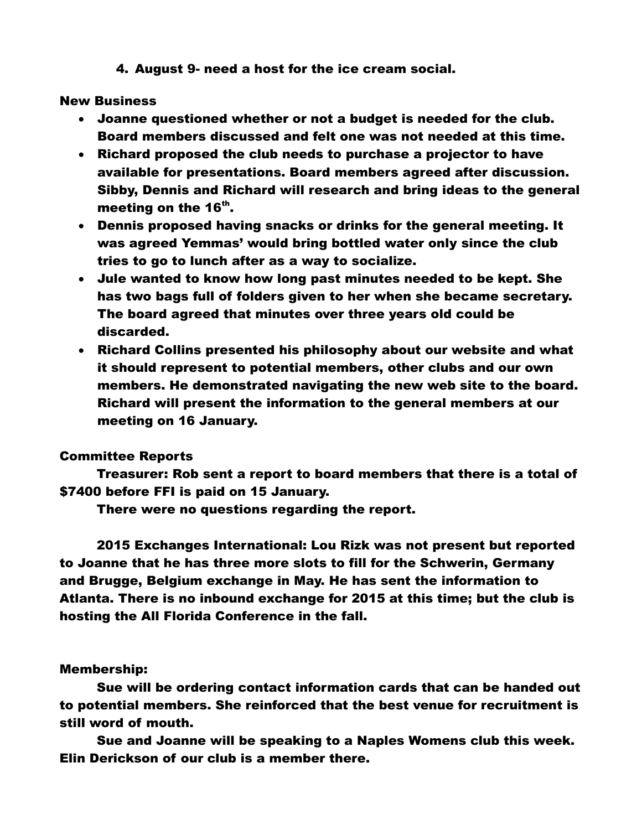4. August 9- need a host for the ice cream social.

### New Business

- Joanne questioned whether or not a budget is needed for the club. Board members discussed and felt one was not needed at this time.
- Richard proposed the club needs to purchase a projector to have available for presentations. Board members agreed after discussion. Sibby, Dennis and Richard will research and bring ideas to the general meeting on the 16<sup>th</sup>.
- Dennis proposed having snacks or drinks for the general meeting. It was agreed Yemmas' would bring bottled water only since the club tries to go to lunch after as a way to socialize.
- Jule wanted to know how long past minutes needed to be kept. She has two bags full of folders given to her when she became secretary. The board agreed that minutes over three years old could be discarded.
- Richard Collins presented his philosophy about our website and what it should represent to potential members, other clubs and our own members. He demonstrated navigating the new web site to the board. Richard will present the information to the general members at our meeting on 16 January.

## Committee Reports

Treasurer: Rob sent a report to board members that there is a total of \$7400 before FFI is paid on 15 January.

There were no questions regarding the report.

2015 Exchanges International: Lou Rizk was not present but reported to Joanne that he has three more slots to fill for the Schwerin, Germany and Brugge, Belgium exchange in May. He has sent the information to Atlanta. There is no inbound exchange for 2015 at this time; but the club is hosting the All Florida Conference in the fall.

## Membership:

Sue will be ordering contact information cards that can be handed out to potential members. She reinforced that the best venue for recruitment is still word of mouth.

Sue and Joanne will be speaking to a Naples Womens club this week. Elin Derickson of our club is a member there.